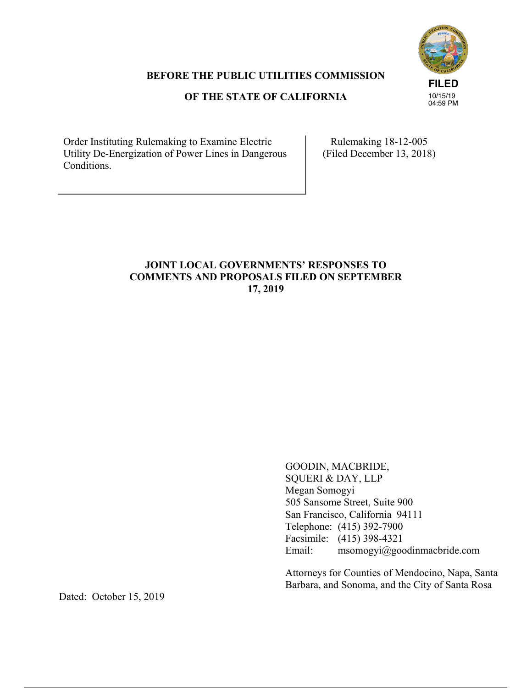

## **BEFORE THE PUBLIC UTILITIES COMMISSION**

## **OF THE STATE OF CALIFORNIA**

Order Instituting Rulemaking to Examine Electric Utility De-Energization of Power Lines in Dangerous Conditions.

Rulemaking 18-12-005 (Filed December 13, 2018)

# **JOINT LOCAL GOVERNMENTS' RESPONSES TO COMMENTS AND PROPOSALS FILED ON SEPTEMBER 17, 2019**

GOODIN, MACBRIDE, SQUERI & DAY, LLP Megan Somogyi 505 Sansome Street, Suite 900 San Francisco, California 94111 Telephone: (415) 392-7900 Facsimile: (415) 398-4321 Email: msomogyi@goodinmacbride.com

Attorneys for Counties of Mendocino, Napa, Santa Barbara, and Sonoma, and the City of Santa Rosa

Dated: October 15, 2019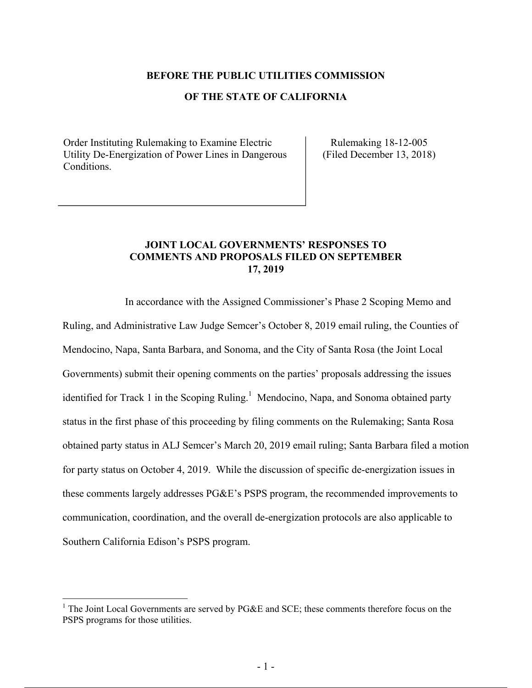#### **BEFORE THE PUBLIC UTILITIES COMMISSION**

### **OF THE STATE OF CALIFORNIA**

Order Instituting Rulemaking to Examine Electric Utility De-Energization of Power Lines in Dangerous Conditions.

Rulemaking 18-12-005 (Filed December 13, 2018)

### **JOINT LOCAL GOVERNMENTS' RESPONSES TO COMMENTS AND PROPOSALS FILED ON SEPTEMBER 17, 2019**

In accordance with the Assigned Commissioner's Phase 2 Scoping Memo and Ruling, and Administrative Law Judge Semcer's October 8, 2019 email ruling, the Counties of Mendocino, Napa, Santa Barbara, and Sonoma, and the City of Santa Rosa (the Joint Local Governments) submit their opening comments on the parties' proposals addressing the issues identified for Track 1 in the Scoping Ruling.<sup>1</sup> Mendocino, Napa, and Sonoma obtained party status in the first phase of this proceeding by filing comments on the Rulemaking; Santa Rosa obtained party status in ALJ Semcer's March 20, 2019 email ruling; Santa Barbara filed a motion for party status on October 4, 2019. While the discussion of specific de-energization issues in these comments largely addresses PG&E's PSPS program, the recommended improvements to communication, coordination, and the overall de-energization protocols are also applicable to Southern California Edison's PSPS program.

<sup>&</sup>lt;sup>1</sup> The Joint Local Governments are served by PG&E and SCE; these comments therefore focus on the PSPS programs for those utilities.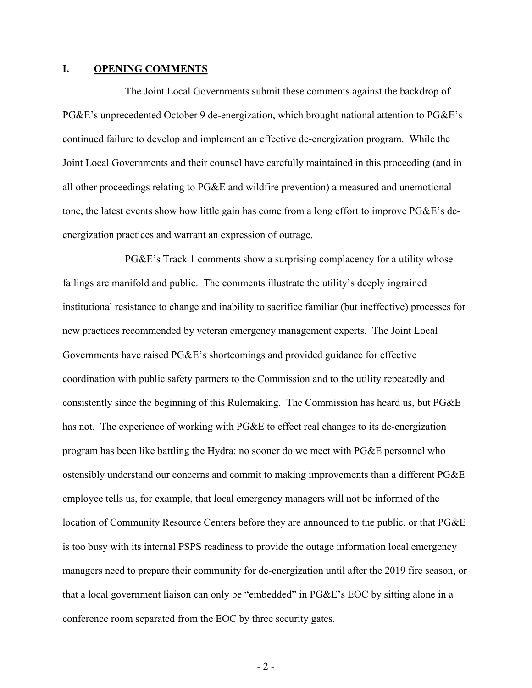#### **I. OPENING COMMENTS**

The Joint Local Governments submit these comments against the backdrop of PG&E's unprecedented October 9 de-energization, which brought national attention to PG&E's continued failure to develop and implement an effective de-energization program. While the Joint Local Governments and their counsel have carefully maintained in this proceeding (and in all other proceedings relating to PG&E and wildfire prevention) a measured and unemotional tone, the latest events show how little gain has come from a long effort to improve PG&E's deenergization practices and warrant an expression of outrage.

PG&E's Track 1 comments show a surprising complacency for a utility whose failings are manifold and public. The comments illustrate the utility's deeply ingrained institutional resistance to change and inability to sacrifice familiar (but ineffective) processes for new practices recommended by veteran emergency management experts. The Joint Local Governments have raised PG&E's shortcomings and provided guidance for effective coordination with public safety partners to the Commission and to the utility repeatedly and consistently since the beginning of this Rulemaking. The Commission has heard us, but PG&E has not. The experience of working with PG&E to effect real changes to its de-energization program has been like battling the Hydra: no sooner do we meet with PG&E personnel who ostensibly understand our concerns and commit to making improvements than a different PG&E employee tells us, for example, that local emergency managers will not be informed of the location of Community Resource Centers before they are announced to the public, or that PG&E is too busy with its internal PSPS readiness to provide the outage information local emergency managers need to prepare their community for de-energization until after the 2019 fire season, or that a local government liaison can only be "embedded" in PG&E's EOC by sitting alone in a conference room separated from the EOC by three security gates.

 $-2-$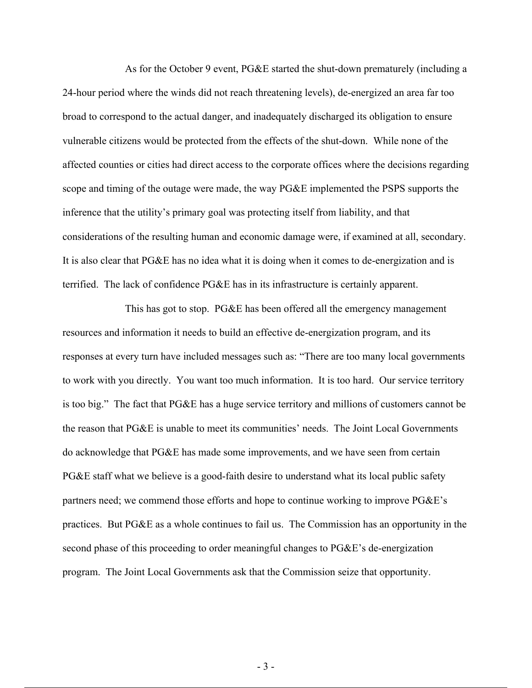As for the October 9 event, PG&E started the shut-down prematurely (including a 24-hour period where the winds did not reach threatening levels), de-energized an area far too broad to correspond to the actual danger, and inadequately discharged its obligation to ensure vulnerable citizens would be protected from the effects of the shut-down. While none of the affected counties or cities had direct access to the corporate offices where the decisions regarding scope and timing of the outage were made, the way PG&E implemented the PSPS supports the inference that the utility's primary goal was protecting itself from liability, and that considerations of the resulting human and economic damage were, if examined at all, secondary. It is also clear that PG&E has no idea what it is doing when it comes to de-energization and is terrified. The lack of confidence PG&E has in its infrastructure is certainly apparent.

This has got to stop. PG&E has been offered all the emergency management resources and information it needs to build an effective de-energization program, and its responses at every turn have included messages such as: "There are too many local governments to work with you directly. You want too much information. It is too hard. Our service territory is too big." The fact that PG&E has a huge service territory and millions of customers cannot be the reason that PG&E is unable to meet its communities' needs. The Joint Local Governments do acknowledge that PG&E has made some improvements, and we have seen from certain PG&E staff what we believe is a good-faith desire to understand what its local public safety partners need; we commend those efforts and hope to continue working to improve PG&E's practices. But PG&E as a whole continues to fail us. The Commission has an opportunity in the second phase of this proceeding to order meaningful changes to PG&E's de-energization program. The Joint Local Governments ask that the Commission seize that opportunity.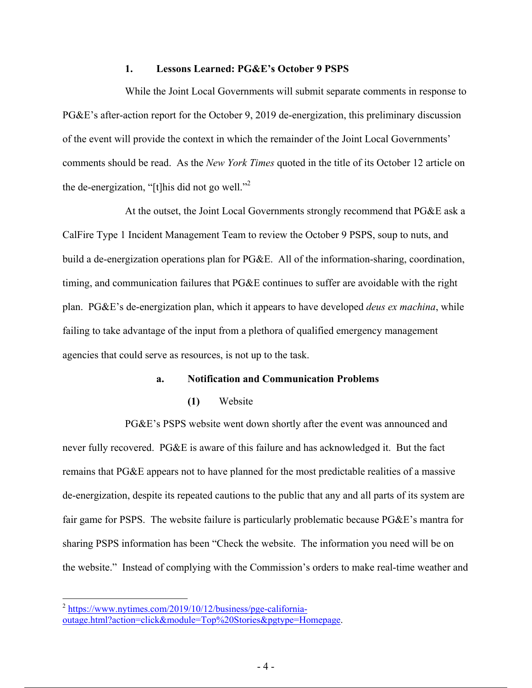### **1. Lessons Learned: PG&E's October 9 PSPS**

While the Joint Local Governments will submit separate comments in response to PG&E's after-action report for the October 9, 2019 de-energization, this preliminary discussion of the event will provide the context in which the remainder of the Joint Local Governments' comments should be read. As the *New York Times* quoted in the title of its October 12 article on the de-energization, "[t]his did not go well."2

At the outset, the Joint Local Governments strongly recommend that PG&E ask a CalFire Type 1 Incident Management Team to review the October 9 PSPS, soup to nuts, and build a de-energization operations plan for PG&E. All of the information-sharing, coordination, timing, and communication failures that PG&E continues to suffer are avoidable with the right plan. PG&E's de-energization plan, which it appears to have developed *deus ex machina*, while failing to take advantage of the input from a plethora of qualified emergency management agencies that could serve as resources, is not up to the task.

### **a. Notification and Communication Problems**

**(1)** Website

PG&E's PSPS website went down shortly after the event was announced and never fully recovered. PG&E is aware of this failure and has acknowledged it. But the fact remains that PG&E appears not to have planned for the most predictable realities of a massive de-energization, despite its repeated cautions to the public that any and all parts of its system are fair game for PSPS. The website failure is particularly problematic because PG&E's mantra for sharing PSPS information has been "Check the website. The information you need will be on the website." Instead of complying with the Commission's orders to make real-time weather and

<sup>&</sup>lt;sup>2</sup> https://www.nytimes.com/2019/10/12/business/pge-californiaoutage.html?action=click&module=Top%20Stories&pgtype=Homepage.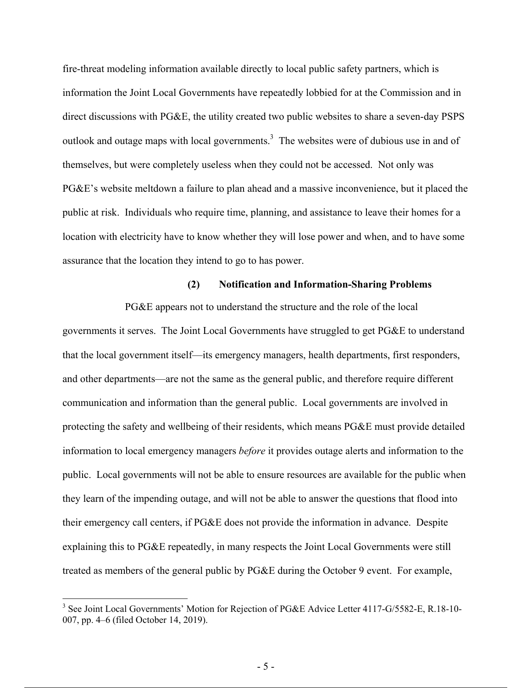fire-threat modeling information available directly to local public safety partners, which is information the Joint Local Governments have repeatedly lobbied for at the Commission and in direct discussions with PG&E, the utility created two public websites to share a seven-day PSPS outlook and outage maps with local governments. $3$  The websites were of dubious use in and of themselves, but were completely useless when they could not be accessed. Not only was PG&E's website meltdown a failure to plan ahead and a massive inconvenience, but it placed the public at risk. Individuals who require time, planning, and assistance to leave their homes for a location with electricity have to know whether they will lose power and when, and to have some assurance that the location they intend to go to has power.

#### **(2) Notification and Information-Sharing Problems**

PG&E appears not to understand the structure and the role of the local governments it serves. The Joint Local Governments have struggled to get PG&E to understand that the local government itself—its emergency managers, health departments, first responders, and other departments—are not the same as the general public, and therefore require different communication and information than the general public. Local governments are involved in protecting the safety and wellbeing of their residents, which means PG&E must provide detailed information to local emergency managers *before* it provides outage alerts and information to the public. Local governments will not be able to ensure resources are available for the public when they learn of the impending outage, and will not be able to answer the questions that flood into their emergency call centers, if PG&E does not provide the information in advance. Despite explaining this to PG&E repeatedly, in many respects the Joint Local Governments were still treated as members of the general public by PG&E during the October 9 event. For example,

<sup>&</sup>lt;sup>3</sup> See Joint Local Governments' Motion for Rejection of PG&E Advice Letter 4117-G/5582-E, R.18-10-007, pp. 4–6 (filed October 14, 2019).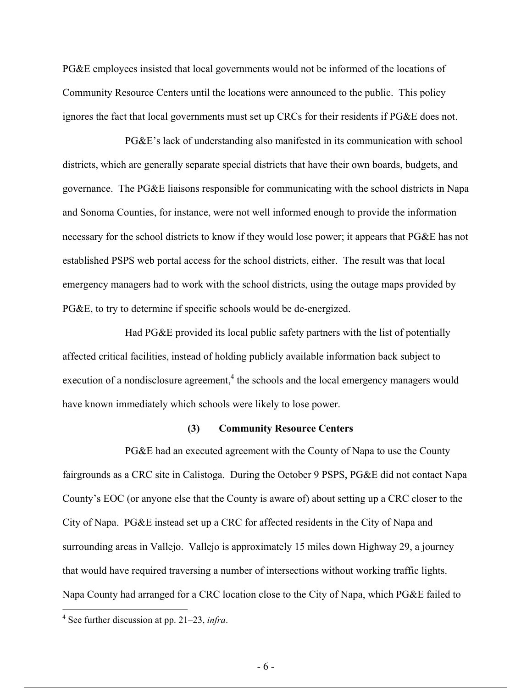PG&E employees insisted that local governments would not be informed of the locations of Community Resource Centers until the locations were announced to the public. This policy ignores the fact that local governments must set up CRCs for their residents if PG&E does not.

PG&E's lack of understanding also manifested in its communication with school districts, which are generally separate special districts that have their own boards, budgets, and governance. The PG&E liaisons responsible for communicating with the school districts in Napa and Sonoma Counties, for instance, were not well informed enough to provide the information necessary for the school districts to know if they would lose power; it appears that PG&E has not established PSPS web portal access for the school districts, either. The result was that local emergency managers had to work with the school districts, using the outage maps provided by PG&E, to try to determine if specific schools would be de-energized.

Had PG&E provided its local public safety partners with the list of potentially affected critical facilities, instead of holding publicly available information back subject to execution of a nondisclosure agreement, $4$  the schools and the local emergency managers would have known immediately which schools were likely to lose power.

#### **(3) Community Resource Centers**

PG&E had an executed agreement with the County of Napa to use the County fairgrounds as a CRC site in Calistoga. During the October 9 PSPS, PG&E did not contact Napa County's EOC (or anyone else that the County is aware of) about setting up a CRC closer to the City of Napa. PG&E instead set up a CRC for affected residents in the City of Napa and surrounding areas in Vallejo. Vallejo is approximately 15 miles down Highway 29, a journey that would have required traversing a number of intersections without working traffic lights. Napa County had arranged for a CRC location close to the City of Napa, which PG&E failed to

 4 See further discussion at pp. 21–23, *infra*.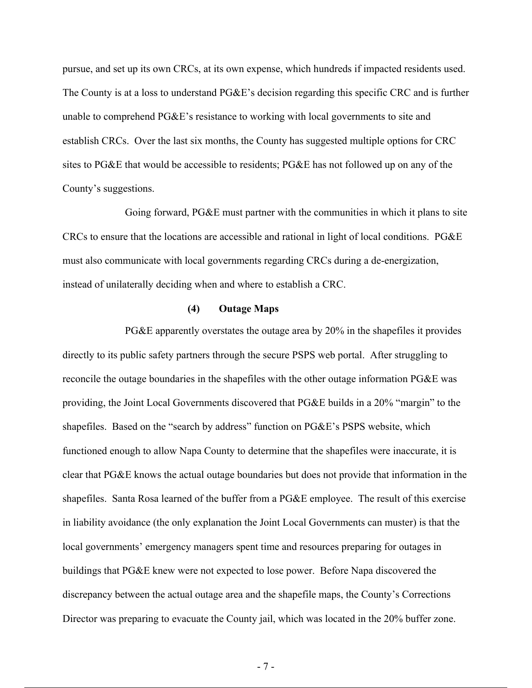pursue, and set up its own CRCs, at its own expense, which hundreds if impacted residents used. The County is at a loss to understand PG&E's decision regarding this specific CRC and is further unable to comprehend PG&E's resistance to working with local governments to site and establish CRCs. Over the last six months, the County has suggested multiple options for CRC sites to PG&E that would be accessible to residents; PG&E has not followed up on any of the County's suggestions.

Going forward, PG&E must partner with the communities in which it plans to site CRCs to ensure that the locations are accessible and rational in light of local conditions. PG&E must also communicate with local governments regarding CRCs during a de-energization, instead of unilaterally deciding when and where to establish a CRC.

#### **(4) Outage Maps**

PG&E apparently overstates the outage area by 20% in the shapefiles it provides directly to its public safety partners through the secure PSPS web portal. After struggling to reconcile the outage boundaries in the shapefiles with the other outage information PG&E was providing, the Joint Local Governments discovered that PG&E builds in a 20% "margin" to the shapefiles. Based on the "search by address" function on PG&E's PSPS website, which functioned enough to allow Napa County to determine that the shapefiles were inaccurate, it is clear that PG&E knows the actual outage boundaries but does not provide that information in the shapefiles. Santa Rosa learned of the buffer from a PG&E employee. The result of this exercise in liability avoidance (the only explanation the Joint Local Governments can muster) is that the local governments' emergency managers spent time and resources preparing for outages in buildings that PG&E knew were not expected to lose power. Before Napa discovered the discrepancy between the actual outage area and the shapefile maps, the County's Corrections Director was preparing to evacuate the County jail, which was located in the 20% buffer zone.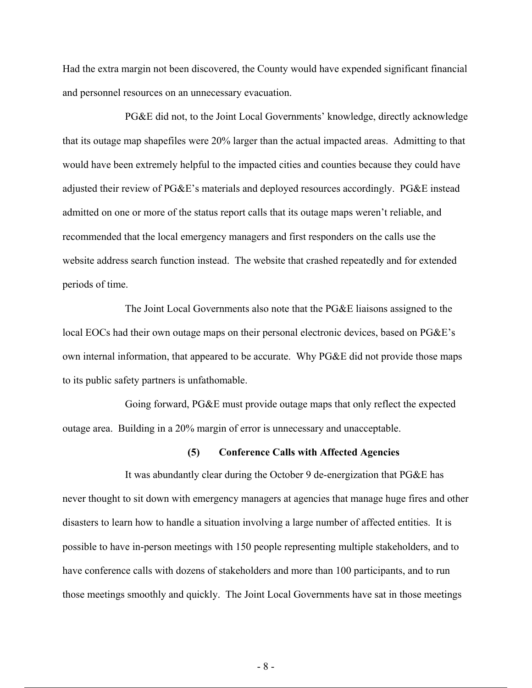Had the extra margin not been discovered, the County would have expended significant financial and personnel resources on an unnecessary evacuation.

PG&E did not, to the Joint Local Governments' knowledge, directly acknowledge that its outage map shapefiles were 20% larger than the actual impacted areas. Admitting to that would have been extremely helpful to the impacted cities and counties because they could have adjusted their review of PG&E's materials and deployed resources accordingly. PG&E instead admitted on one or more of the status report calls that its outage maps weren't reliable, and recommended that the local emergency managers and first responders on the calls use the website address search function instead. The website that crashed repeatedly and for extended periods of time.

The Joint Local Governments also note that the PG&E liaisons assigned to the local EOCs had their own outage maps on their personal electronic devices, based on PG&E's own internal information, that appeared to be accurate. Why PG&E did not provide those maps to its public safety partners is unfathomable.

Going forward, PG&E must provide outage maps that only reflect the expected outage area. Building in a 20% margin of error is unnecessary and unacceptable.

#### **(5) Conference Calls with Affected Agencies**

It was abundantly clear during the October 9 de-energization that PG&E has never thought to sit down with emergency managers at agencies that manage huge fires and other disasters to learn how to handle a situation involving a large number of affected entities. It is possible to have in-person meetings with 150 people representing multiple stakeholders, and to have conference calls with dozens of stakeholders and more than 100 participants, and to run those meetings smoothly and quickly. The Joint Local Governments have sat in those meetings

- 8 -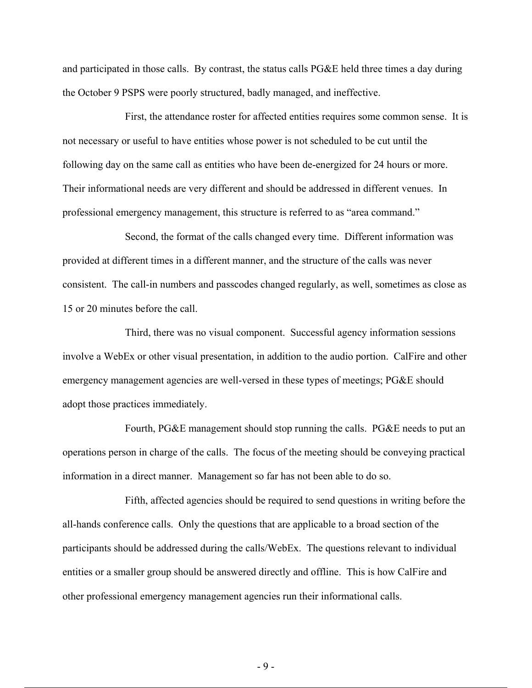and participated in those calls. By contrast, the status calls PG&E held three times a day during the October 9 PSPS were poorly structured, badly managed, and ineffective.

First, the attendance roster for affected entities requires some common sense. It is not necessary or useful to have entities whose power is not scheduled to be cut until the following day on the same call as entities who have been de-energized for 24 hours or more. Their informational needs are very different and should be addressed in different venues. In professional emergency management, this structure is referred to as "area command."

Second, the format of the calls changed every time. Different information was provided at different times in a different manner, and the structure of the calls was never consistent. The call-in numbers and passcodes changed regularly, as well, sometimes as close as 15 or 20 minutes before the call.

Third, there was no visual component. Successful agency information sessions involve a WebEx or other visual presentation, in addition to the audio portion. CalFire and other emergency management agencies are well-versed in these types of meetings; PG&E should adopt those practices immediately.

Fourth, PG&E management should stop running the calls. PG&E needs to put an operations person in charge of the calls. The focus of the meeting should be conveying practical information in a direct manner. Management so far has not been able to do so.

Fifth, affected agencies should be required to send questions in writing before the all-hands conference calls. Only the questions that are applicable to a broad section of the participants should be addressed during the calls/WebEx. The questions relevant to individual entities or a smaller group should be answered directly and offline. This is how CalFire and other professional emergency management agencies run their informational calls.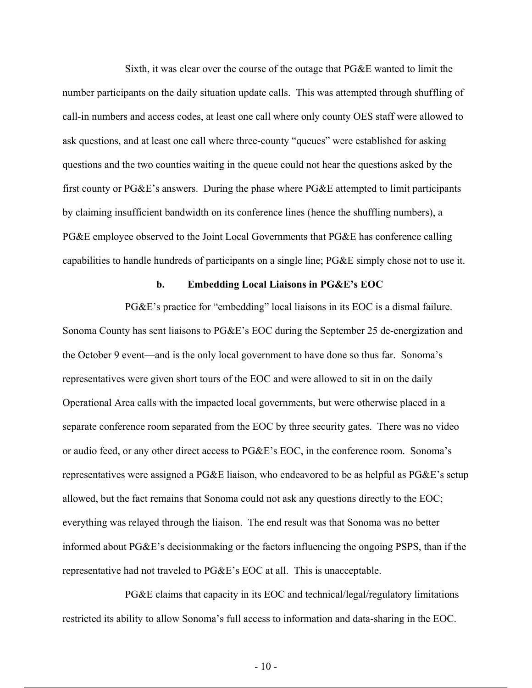Sixth, it was clear over the course of the outage that PG&E wanted to limit the number participants on the daily situation update calls. This was attempted through shuffling of call-in numbers and access codes, at least one call where only county OES staff were allowed to ask questions, and at least one call where three-county "queues" were established for asking questions and the two counties waiting in the queue could not hear the questions asked by the first county or PG&E's answers. During the phase where PG&E attempted to limit participants by claiming insufficient bandwidth on its conference lines (hence the shuffling numbers), a PG&E employee observed to the Joint Local Governments that PG&E has conference calling capabilities to handle hundreds of participants on a single line; PG&E simply chose not to use it.

#### **b. Embedding Local Liaisons in PG&E's EOC**

PG&E's practice for "embedding" local liaisons in its EOC is a dismal failure. Sonoma County has sent liaisons to PG&E's EOC during the September 25 de-energization and the October 9 event—and is the only local government to have done so thus far. Sonoma's representatives were given short tours of the EOC and were allowed to sit in on the daily Operational Area calls with the impacted local governments, but were otherwise placed in a separate conference room separated from the EOC by three security gates. There was no video or audio feed, or any other direct access to PG&E's EOC, in the conference room. Sonoma's representatives were assigned a PG&E liaison, who endeavored to be as helpful as PG&E's setup allowed, but the fact remains that Sonoma could not ask any questions directly to the EOC; everything was relayed through the liaison. The end result was that Sonoma was no better informed about PG&E's decisionmaking or the factors influencing the ongoing PSPS, than if the representative had not traveled to PG&E's EOC at all. This is unacceptable.

PG&E claims that capacity in its EOC and technical/legal/regulatory limitations restricted its ability to allow Sonoma's full access to information and data-sharing in the EOC.

 $-10-$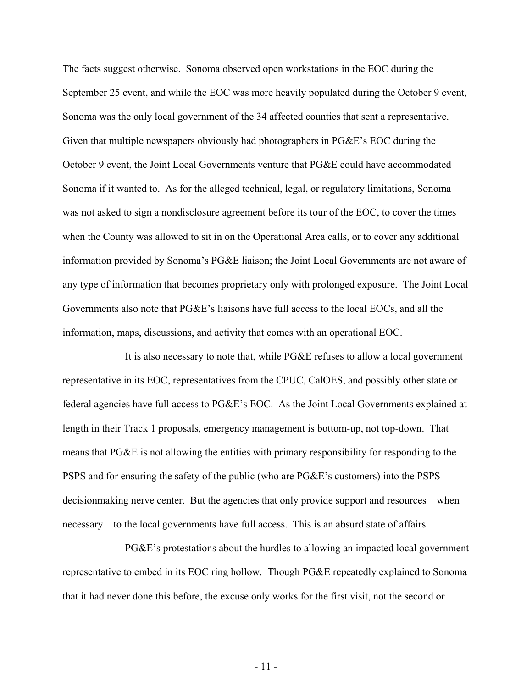The facts suggest otherwise. Sonoma observed open workstations in the EOC during the September 25 event, and while the EOC was more heavily populated during the October 9 event, Sonoma was the only local government of the 34 affected counties that sent a representative. Given that multiple newspapers obviously had photographers in PG&E's EOC during the October 9 event, the Joint Local Governments venture that PG&E could have accommodated Sonoma if it wanted to. As for the alleged technical, legal, or regulatory limitations, Sonoma was not asked to sign a nondisclosure agreement before its tour of the EOC, to cover the times when the County was allowed to sit in on the Operational Area calls, or to cover any additional information provided by Sonoma's PG&E liaison; the Joint Local Governments are not aware of any type of information that becomes proprietary only with prolonged exposure. The Joint Local Governments also note that PG&E's liaisons have full access to the local EOCs, and all the information, maps, discussions, and activity that comes with an operational EOC.

It is also necessary to note that, while PG&E refuses to allow a local government representative in its EOC, representatives from the CPUC, CalOES, and possibly other state or federal agencies have full access to PG&E's EOC. As the Joint Local Governments explained at length in their Track 1 proposals, emergency management is bottom-up, not top-down. That means that PG&E is not allowing the entities with primary responsibility for responding to the PSPS and for ensuring the safety of the public (who are PG&E's customers) into the PSPS decisionmaking nerve center. But the agencies that only provide support and resources—when necessary—to the local governments have full access. This is an absurd state of affairs.

PG&E's protestations about the hurdles to allowing an impacted local government representative to embed in its EOC ring hollow. Though PG&E repeatedly explained to Sonoma that it had never done this before, the excuse only works for the first visit, not the second or

 $-11$  -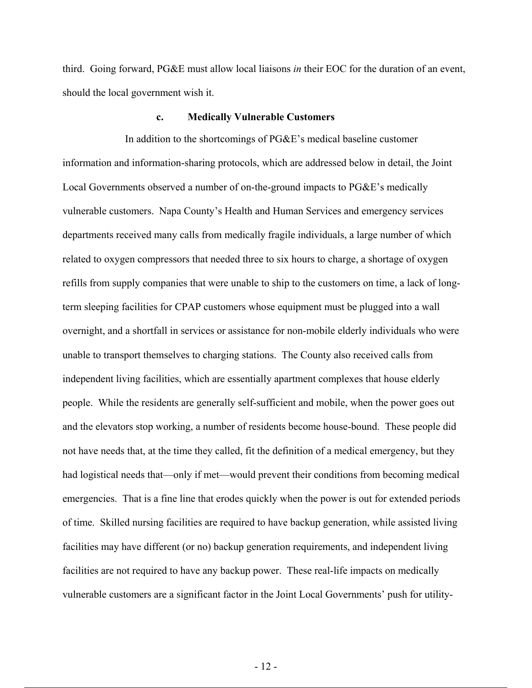third. Going forward, PG&E must allow local liaisons *in* their EOC for the duration of an event, should the local government wish it.

#### **c. Medically Vulnerable Customers**

In addition to the shortcomings of PG&E's medical baseline customer information and information-sharing protocols, which are addressed below in detail, the Joint Local Governments observed a number of on-the-ground impacts to PG&E's medically vulnerable customers. Napa County's Health and Human Services and emergency services departments received many calls from medically fragile individuals, a large number of which related to oxygen compressors that needed three to six hours to charge, a shortage of oxygen refills from supply companies that were unable to ship to the customers on time, a lack of longterm sleeping facilities for CPAP customers whose equipment must be plugged into a wall overnight, and a shortfall in services or assistance for non-mobile elderly individuals who were unable to transport themselves to charging stations. The County also received calls from independent living facilities, which are essentially apartment complexes that house elderly people. While the residents are generally self-sufficient and mobile, when the power goes out and the elevators stop working, a number of residents become house-bound. These people did not have needs that, at the time they called, fit the definition of a medical emergency, but they had logistical needs that—only if met—would prevent their conditions from becoming medical emergencies. That is a fine line that erodes quickly when the power is out for extended periods of time. Skilled nursing facilities are required to have backup generation, while assisted living facilities may have different (or no) backup generation requirements, and independent living facilities are not required to have any backup power. These real-life impacts on medically vulnerable customers are a significant factor in the Joint Local Governments' push for utility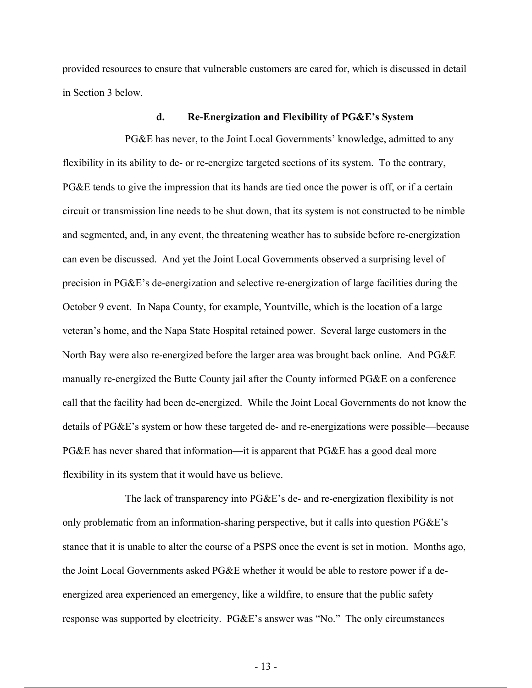provided resources to ensure that vulnerable customers are cared for, which is discussed in detail in Section 3 below.

#### **d. Re-Energization and Flexibility of PG&E's System**

PG&E has never, to the Joint Local Governments' knowledge, admitted to any flexibility in its ability to de- or re-energize targeted sections of its system. To the contrary, PG&E tends to give the impression that its hands are tied once the power is off, or if a certain circuit or transmission line needs to be shut down, that its system is not constructed to be nimble and segmented, and, in any event, the threatening weather has to subside before re-energization can even be discussed. And yet the Joint Local Governments observed a surprising level of precision in PG&E's de-energization and selective re-energization of large facilities during the October 9 event. In Napa County, for example, Yountville, which is the location of a large veteran's home, and the Napa State Hospital retained power. Several large customers in the North Bay were also re-energized before the larger area was brought back online. And PG&E manually re-energized the Butte County jail after the County informed PG&E on a conference call that the facility had been de-energized. While the Joint Local Governments do not know the details of PG&E's system or how these targeted de- and re-energizations were possible—because PG&E has never shared that information—it is apparent that PG&E has a good deal more flexibility in its system that it would have us believe.

The lack of transparency into PG&E's de- and re-energization flexibility is not only problematic from an information-sharing perspective, but it calls into question PG&E's stance that it is unable to alter the course of a PSPS once the event is set in motion. Months ago, the Joint Local Governments asked PG&E whether it would be able to restore power if a deenergized area experienced an emergency, like a wildfire, to ensure that the public safety response was supported by electricity. PG&E's answer was "No." The only circumstances

 $-13 -$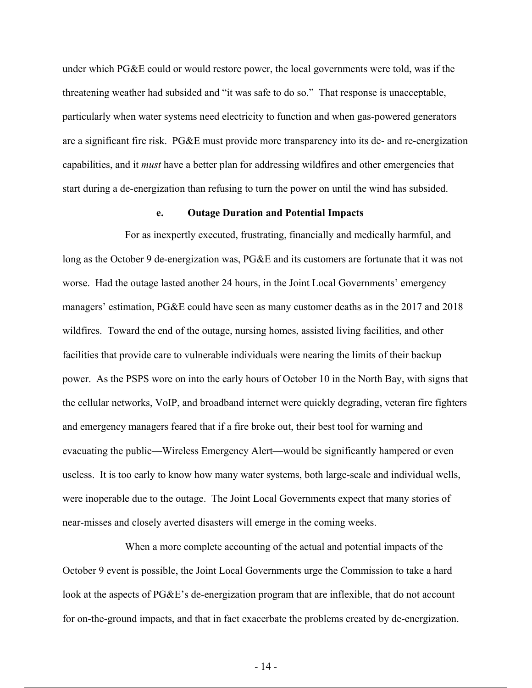under which PG&E could or would restore power, the local governments were told, was if the threatening weather had subsided and "it was safe to do so." That response is unacceptable, particularly when water systems need electricity to function and when gas-powered generators are a significant fire risk. PG&E must provide more transparency into its de- and re-energization capabilities, and it *must* have a better plan for addressing wildfires and other emergencies that start during a de-energization than refusing to turn the power on until the wind has subsided.

#### **e. Outage Duration and Potential Impacts**

For as inexpertly executed, frustrating, financially and medically harmful, and long as the October 9 de-energization was, PG&E and its customers are fortunate that it was not worse. Had the outage lasted another 24 hours, in the Joint Local Governments' emergency managers' estimation, PG&E could have seen as many customer deaths as in the 2017 and 2018 wildfires. Toward the end of the outage, nursing homes, assisted living facilities, and other facilities that provide care to vulnerable individuals were nearing the limits of their backup power. As the PSPS wore on into the early hours of October 10 in the North Bay, with signs that the cellular networks, VoIP, and broadband internet were quickly degrading, veteran fire fighters and emergency managers feared that if a fire broke out, their best tool for warning and evacuating the public—Wireless Emergency Alert—would be significantly hampered or even useless. It is too early to know how many water systems, both large-scale and individual wells, were inoperable due to the outage. The Joint Local Governments expect that many stories of near-misses and closely averted disasters will emerge in the coming weeks.

When a more complete accounting of the actual and potential impacts of the October 9 event is possible, the Joint Local Governments urge the Commission to take a hard look at the aspects of PG&E's de-energization program that are inflexible, that do not account for on-the-ground impacts, and that in fact exacerbate the problems created by de-energization.

- 14 -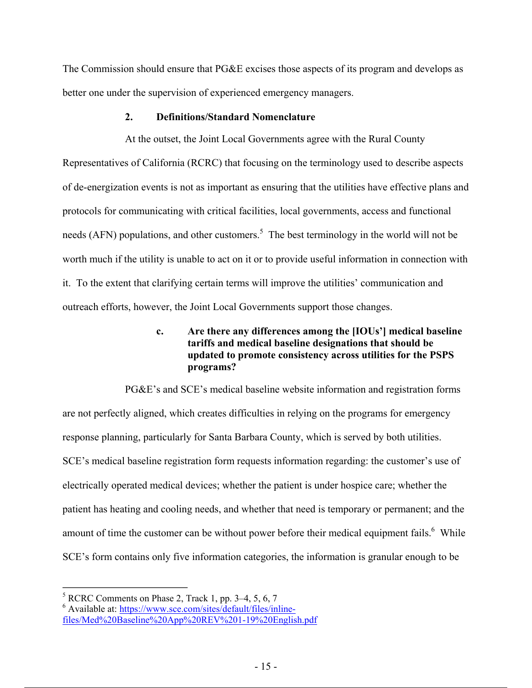The Commission should ensure that PG&E excises those aspects of its program and develops as better one under the supervision of experienced emergency managers.

### **2. Definitions/Standard Nomenclature**

At the outset, the Joint Local Governments agree with the Rural County Representatives of California (RCRC) that focusing on the terminology used to describe aspects of de-energization events is not as important as ensuring that the utilities have effective plans and protocols for communicating with critical facilities, local governments, access and functional needs (AFN) populations, and other customers.<sup>5</sup> The best terminology in the world will not be worth much if the utility is unable to act on it or to provide useful information in connection with it. To the extent that clarifying certain terms will improve the utilities' communication and outreach efforts, however, the Joint Local Governments support those changes.

## **c. Are there any differences among the [IOUs'] medical baseline tariffs and medical baseline designations that should be updated to promote consistency across utilities for the PSPS programs?**

PG&E's and SCE's medical baseline website information and registration forms are not perfectly aligned, which creates difficulties in relying on the programs for emergency response planning, particularly for Santa Barbara County, which is served by both utilities. SCE's medical baseline registration form requests information regarding: the customer's use of electrically operated medical devices; whether the patient is under hospice care; whether the patient has heating and cooling needs, and whether that need is temporary or permanent; and the amount of time the customer can be without power before their medical equipment fails. <sup>6</sup> While SCE's form contains only five information categories, the information is granular enough to be

 $<sup>5</sup>$  RCRC Comments on Phase 2, Track 1, pp. 3–4, 5, 6, 7</sup>

<sup>&</sup>lt;sup>6</sup> Available at: https://www.sce.com/sites/default/files/inlinefiles/Med%20Baseline%20App%20REV%201-19%20English.pdf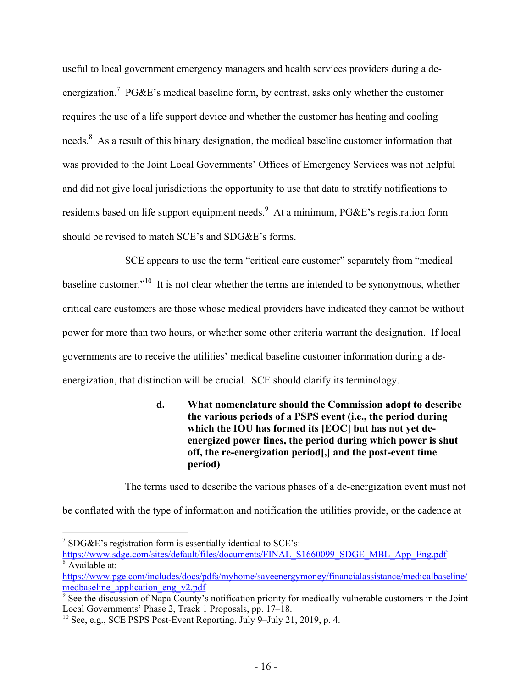useful to local government emergency managers and health services providers during a deenergization.<sup>7</sup> PG&E's medical baseline form, by contrast, asks only whether the customer requires the use of a life support device and whether the customer has heating and cooling needs.<sup>8</sup> As a result of this binary designation, the medical baseline customer information that was provided to the Joint Local Governments' Offices of Emergency Services was not helpful and did not give local jurisdictions the opportunity to use that data to stratify notifications to residents based on life support equipment needs. At a minimum, PG&E's registration form should be revised to match SCE's and SDG&E's forms.

SCE appears to use the term "critical care customer" separately from "medical baseline customer."10 It is not clear whether the terms are intended to be synonymous, whether critical care customers are those whose medical providers have indicated they cannot be without power for more than two hours, or whether some other criteria warrant the designation. If local governments are to receive the utilities' medical baseline customer information during a deenergization, that distinction will be crucial. SCE should clarify its terminology.

# **d. What nomenclature should the Commission adopt to describe the various periods of a PSPS event (i.e., the period during which the IOU has formed its [EOC] but has not yet deenergized power lines, the period during which power is shut off, the re-energization period[,] and the post-event time period)**

The terms used to describe the various phases of a de-energization event must not

be conflated with the type of information and notification the utilities provide, or the cadence at

 $7 SDG&E$ 's registration form is essentially identical to SCE's: https://www.sdge.com/sites/default/files/documents/FINAL\_S1660099\_SDGE\_MBL\_App\_Eng.pdf

 $8 \text{ Available at:}$ 

https://www.pge.com/includes/docs/pdfs/myhome/saveenergymoney/financialassistance/medicalbaseline/ medbaseline\_application\_eng\_v2.pdf

 $\frac{1}{9}$  See the discussion of Napa County's notification priority for medically vulnerable customers in the Joint Local Governments' Phase 2, Track 1 Proposals, pp. 17–18.

<sup>&</sup>lt;sup>10</sup> See, e.g., SCE PSPS Post-Event Reporting, July 9-July 21, 2019, p. 4.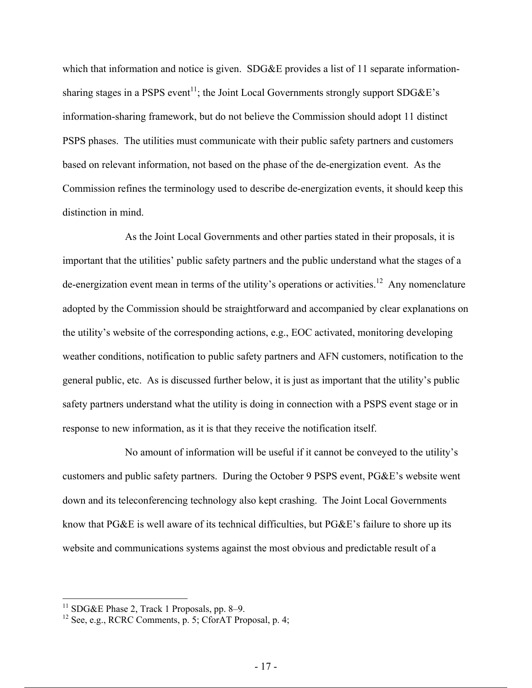which that information and notice is given. SDG&E provides a list of 11 separate informationsharing stages in a PSPS event<sup>11</sup>; the Joint Local Governments strongly support  $SDG\&E$ 's information-sharing framework, but do not believe the Commission should adopt 11 distinct PSPS phases. The utilities must communicate with their public safety partners and customers based on relevant information, not based on the phase of the de-energization event. As the Commission refines the terminology used to describe de-energization events, it should keep this distinction in mind.

As the Joint Local Governments and other parties stated in their proposals, it is important that the utilities' public safety partners and the public understand what the stages of a de-energization event mean in terms of the utility's operations or activities.<sup>12</sup> Any nomenclature adopted by the Commission should be straightforward and accompanied by clear explanations on the utility's website of the corresponding actions, e.g., EOC activated, monitoring developing weather conditions, notification to public safety partners and AFN customers, notification to the general public, etc. As is discussed further below, it is just as important that the utility's public safety partners understand what the utility is doing in connection with a PSPS event stage or in response to new information, as it is that they receive the notification itself.

No amount of information will be useful if it cannot be conveyed to the utility's customers and public safety partners. During the October 9 PSPS event, PG&E's website went down and its teleconferencing technology also kept crashing. The Joint Local Governments know that PG&E is well aware of its technical difficulties, but PG&E's failure to shore up its website and communications systems against the most obvious and predictable result of a

<sup>&</sup>lt;sup>11</sup> SDG&E Phase 2, Track 1 Proposals, pp. 8–9.

 $12$  See, e.g., RCRC Comments, p. 5; CforAT Proposal, p. 4;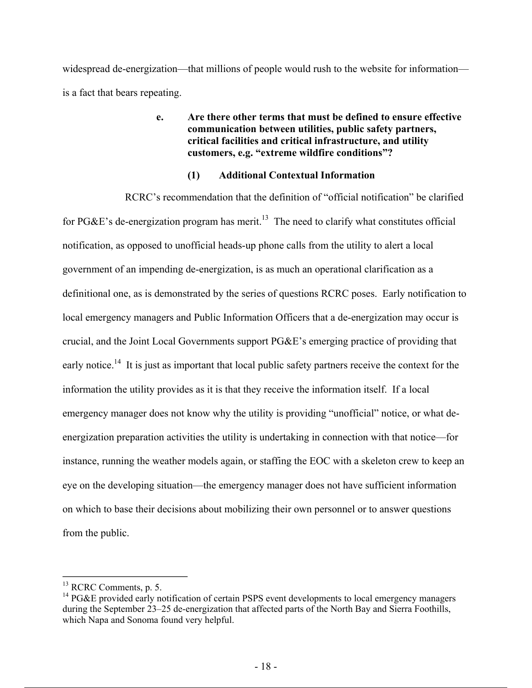widespread de-energization—that millions of people would rush to the website for information is a fact that bears repeating.

## **e. Are there other terms that must be defined to ensure effective communication between utilities, public safety partners, critical facilities and critical infrastructure, and utility customers, e.g. "extreme wildfire conditions"?**

## **(1) Additional Contextual Information**

RCRC's recommendation that the definition of "official notification" be clarified for PG&E's de-energization program has merit.<sup>13</sup> The need to clarify what constitutes official notification, as opposed to unofficial heads-up phone calls from the utility to alert a local government of an impending de-energization, is as much an operational clarification as a definitional one, as is demonstrated by the series of questions RCRC poses. Early notification to local emergency managers and Public Information Officers that a de-energization may occur is crucial, and the Joint Local Governments support PG&E's emerging practice of providing that early notice.<sup>14</sup> It is just as important that local public safety partners receive the context for the information the utility provides as it is that they receive the information itself. If a local emergency manager does not know why the utility is providing "unofficial" notice, or what deenergization preparation activities the utility is undertaking in connection with that notice—for instance, running the weather models again, or staffing the EOC with a skeleton crew to keep an eye on the developing situation—the emergency manager does not have sufficient information on which to base their decisions about mobilizing their own personnel or to answer questions from the public.

<sup>&</sup>lt;sup>13</sup> RCRC Comments, p. 5.

<sup>&</sup>lt;sup>14</sup> PG&E provided early notification of certain PSPS event developments to local emergency managers during the September 23–25 de-energization that affected parts of the North Bay and Sierra Foothills, which Napa and Sonoma found very helpful.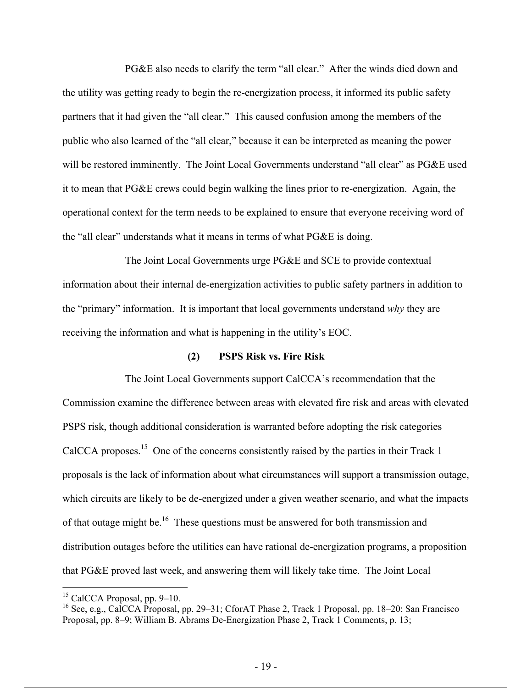PG&E also needs to clarify the term "all clear." After the winds died down and the utility was getting ready to begin the re-energization process, it informed its public safety partners that it had given the "all clear." This caused confusion among the members of the public who also learned of the "all clear," because it can be interpreted as meaning the power will be restored imminently. The Joint Local Governments understand "all clear" as PG&E used it to mean that PG&E crews could begin walking the lines prior to re-energization. Again, the operational context for the term needs to be explained to ensure that everyone receiving word of the "all clear" understands what it means in terms of what PG&E is doing.

The Joint Local Governments urge PG&E and SCE to provide contextual information about their internal de-energization activities to public safety partners in addition to the "primary" information. It is important that local governments understand *why* they are receiving the information and what is happening in the utility's EOC.

#### **(2) PSPS Risk vs. Fire Risk**

The Joint Local Governments support CalCCA's recommendation that the Commission examine the difference between areas with elevated fire risk and areas with elevated PSPS risk, though additional consideration is warranted before adopting the risk categories CalCCA proposes.<sup>15</sup> One of the concerns consistently raised by the parties in their Track 1 proposals is the lack of information about what circumstances will support a transmission outage, which circuits are likely to be de-energized under a given weather scenario, and what the impacts of that outage might be.<sup>16</sup> These questions must be answered for both transmission and distribution outages before the utilities can have rational de-energization programs, a proposition that PG&E proved last week, and answering them will likely take time. The Joint Local

<sup>15</sup> CalCCA Proposal, pp. 9–10.

<sup>16</sup> See, e.g., CalCCA Proposal, pp. 29–31; CforAT Phase 2, Track 1 Proposal, pp. 18–20; San Francisco Proposal, pp. 8–9; William B. Abrams De-Energization Phase 2, Track 1 Comments, p. 13;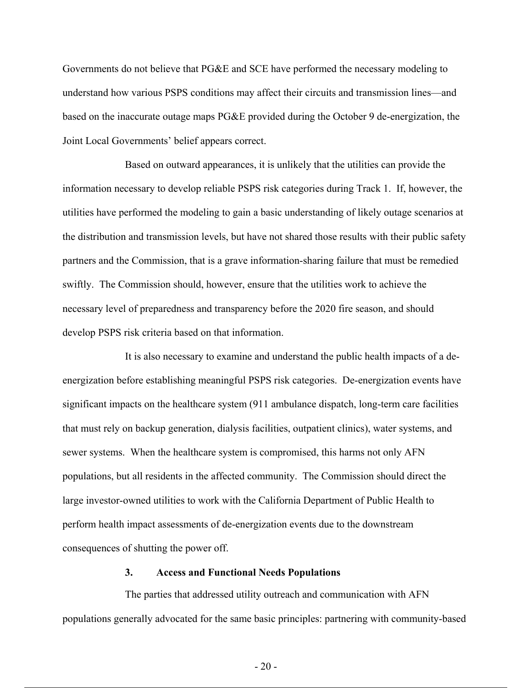Governments do not believe that PG&E and SCE have performed the necessary modeling to understand how various PSPS conditions may affect their circuits and transmission lines—and based on the inaccurate outage maps PG&E provided during the October 9 de-energization, the Joint Local Governments' belief appears correct.

Based on outward appearances, it is unlikely that the utilities can provide the information necessary to develop reliable PSPS risk categories during Track 1. If, however, the utilities have performed the modeling to gain a basic understanding of likely outage scenarios at the distribution and transmission levels, but have not shared those results with their public safety partners and the Commission, that is a grave information-sharing failure that must be remedied swiftly. The Commission should, however, ensure that the utilities work to achieve the necessary level of preparedness and transparency before the 2020 fire season, and should develop PSPS risk criteria based on that information.

It is also necessary to examine and understand the public health impacts of a deenergization before establishing meaningful PSPS risk categories. De-energization events have significant impacts on the healthcare system (911 ambulance dispatch, long-term care facilities that must rely on backup generation, dialysis facilities, outpatient clinics), water systems, and sewer systems. When the healthcare system is compromised, this harms not only AFN populations, but all residents in the affected community. The Commission should direct the large investor-owned utilities to work with the California Department of Public Health to perform health impact assessments of de-energization events due to the downstream consequences of shutting the power off.

#### **3. Access and Functional Needs Populations**

The parties that addressed utility outreach and communication with AFN populations generally advocated for the same basic principles: partnering with community-based

 $- 20 -$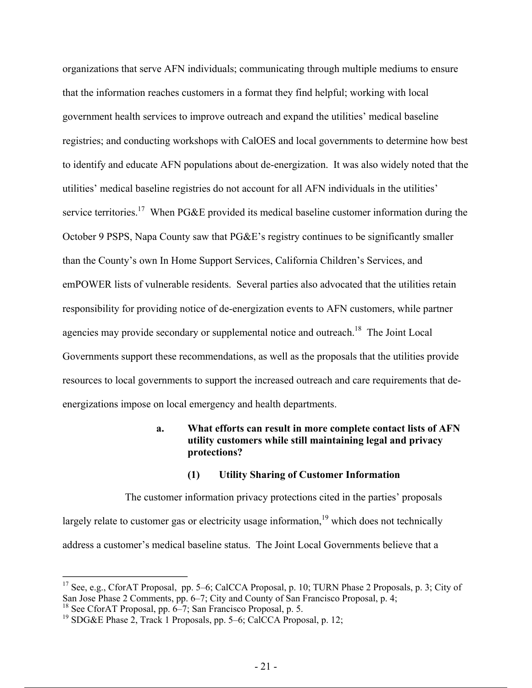organizations that serve AFN individuals; communicating through multiple mediums to ensure that the information reaches customers in a format they find helpful; working with local government health services to improve outreach and expand the utilities' medical baseline registries; and conducting workshops with CalOES and local governments to determine how best to identify and educate AFN populations about de-energization. It was also widely noted that the utilities' medical baseline registries do not account for all AFN individuals in the utilities' service territories.<sup>17</sup> When PG&E provided its medical baseline customer information during the October 9 PSPS, Napa County saw that PG&E's registry continues to be significantly smaller than the County's own In Home Support Services, California Children's Services, and emPOWER lists of vulnerable residents. Several parties also advocated that the utilities retain responsibility for providing notice of de-energization events to AFN customers, while partner agencies may provide secondary or supplemental notice and outreach.<sup>18</sup> The Joint Local Governments support these recommendations, as well as the proposals that the utilities provide resources to local governments to support the increased outreach and care requirements that deenergizations impose on local emergency and health departments.

## **a. What efforts can result in more complete contact lists of AFN utility customers while still maintaining legal and privacy protections?**

#### **(1) Utility Sharing of Customer Information**

The customer information privacy protections cited in the parties' proposals largely relate to customer gas or electricity usage information, $19$  which does not technically address a customer's medical baseline status. The Joint Local Governments believe that a

<sup>&</sup>lt;sup>17</sup> See, e.g., CforAT Proposal, pp. 5–6; CalCCA Proposal, p. 10; TURN Phase 2 Proposals, p. 3; City of San Jose Phase 2 Comments, pp. 6–7; City and County of San Francisco Proposal, p. 4;

<sup>&</sup>lt;sup>18</sup> See CforAT Proposal, pp. 6–7; San Francisco Proposal, p. 5.

<sup>&</sup>lt;sup>19</sup> SDG&E Phase 2, Track 1 Proposals, pp. 5–6; CalCCA Proposal, p. 12;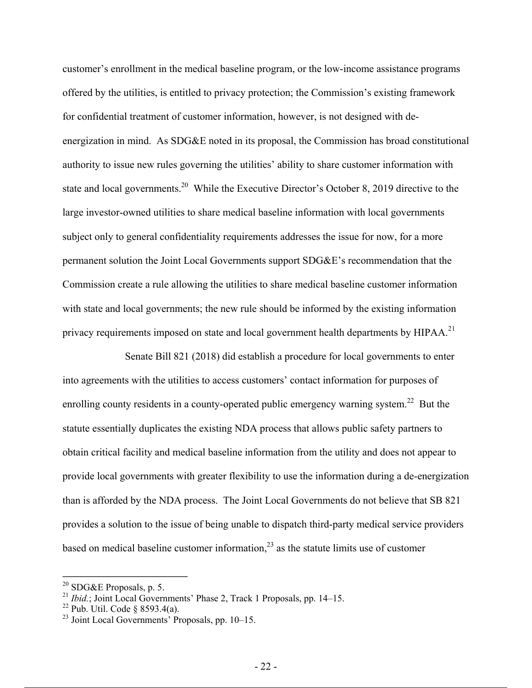customer's enrollment in the medical baseline program, or the low-income assistance programs offered by the utilities, is entitled to privacy protection; the Commission's existing framework for confidential treatment of customer information, however, is not designed with deenergization in mind. As SDG&E noted in its proposal, the Commission has broad constitutional authority to issue new rules governing the utilities' ability to share customer information with state and local governments.<sup>20</sup> While the Executive Director's October 8, 2019 directive to the large investor-owned utilities to share medical baseline information with local governments subject only to general confidentiality requirements addresses the issue for now, for a more permanent solution the Joint Local Governments support SDG&E's recommendation that the Commission create a rule allowing the utilities to share medical baseline customer information with state and local governments; the new rule should be informed by the existing information privacy requirements imposed on state and local government health departments by HIPAA.<sup>21</sup>

Senate Bill 821 (2018) did establish a procedure for local governments to enter into agreements with the utilities to access customers' contact information for purposes of enrolling county residents in a county-operated public emergency warning system.<sup>22</sup> But the statute essentially duplicates the existing NDA process that allows public safety partners to obtain critical facility and medical baseline information from the utility and does not appear to provide local governments with greater flexibility to use the information during a de-energization than is afforded by the NDA process. The Joint Local Governments do not believe that SB 821 provides a solution to the issue of being unable to dispatch third-party medical service providers based on medical baseline customer information, $^{23}$  as the statute limits use of customer

<sup>&</sup>lt;sup>20</sup> SDG&E Proposals, p. 5.

<sup>&</sup>lt;sup>21</sup> *Ibid.*; Joint Local Governments' Phase 2, Track 1 Proposals, pp. 14–15.

 $22$  Pub. Util. Code § 8593.4(a).

<sup>&</sup>lt;sup>23</sup> Joint Local Governments<sup>'</sup> Proposals, pp. 10–15.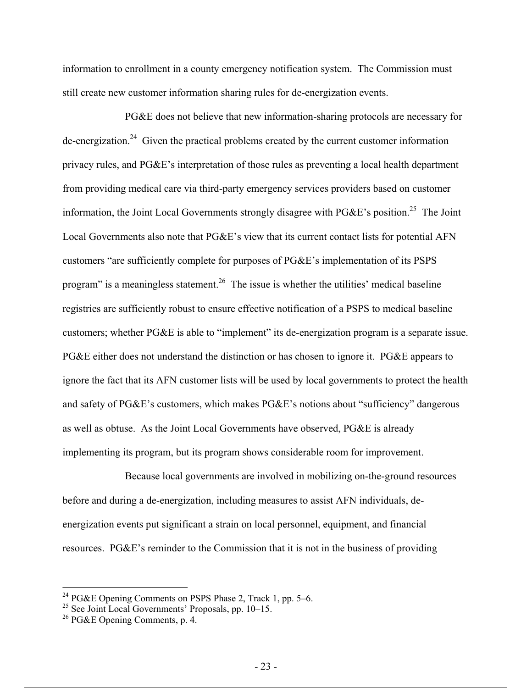information to enrollment in a county emergency notification system. The Commission must still create new customer information sharing rules for de-energization events.

PG&E does not believe that new information-sharing protocols are necessary for  $de-energization.<sup>24</sup>$  Given the practical problems created by the current customer information privacy rules, and PG&E's interpretation of those rules as preventing a local health department from providing medical care via third-party emergency services providers based on customer information, the Joint Local Governments strongly disagree with PG&E's position.<sup>25</sup> The Joint Local Governments also note that PG&E's view that its current contact lists for potential AFN customers "are sufficiently complete for purposes of PG&E's implementation of its PSPS program" is a meaningless statement.<sup>26</sup> The issue is whether the utilities' medical baseline registries are sufficiently robust to ensure effective notification of a PSPS to medical baseline customers; whether PG&E is able to "implement" its de-energization program is a separate issue. PG&E either does not understand the distinction or has chosen to ignore it. PG&E appears to ignore the fact that its AFN customer lists will be used by local governments to protect the health and safety of PG&E's customers, which makes PG&E's notions about "sufficiency" dangerous as well as obtuse. As the Joint Local Governments have observed, PG&E is already implementing its program, but its program shows considerable room for improvement.

Because local governments are involved in mobilizing on-the-ground resources before and during a de-energization, including measures to assist AFN individuals, deenergization events put significant a strain on local personnel, equipment, and financial resources. PG&E's reminder to the Commission that it is not in the business of providing

<sup>&</sup>lt;sup>24</sup> PG&E Opening Comments on PSPS Phase 2, Track 1, pp. 5–6.

<sup>&</sup>lt;sup>25</sup> See Joint Local Governments' Proposals, pp. 10–15.

<sup>26</sup> PG&E Opening Comments, p. 4.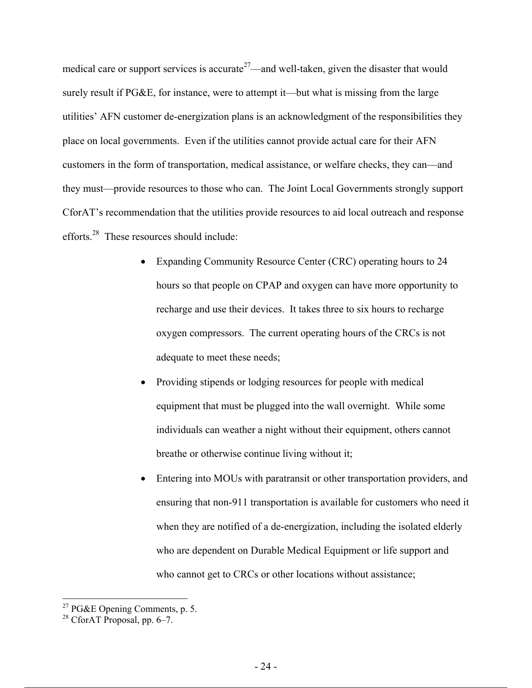medical care or support services is accurate<sup>27</sup>—and well-taken, given the disaster that would surely result if PG&E, for instance, were to attempt it—but what is missing from the large utilities' AFN customer de-energization plans is an acknowledgment of the responsibilities they place on local governments. Even if the utilities cannot provide actual care for their AFN customers in the form of transportation, medical assistance, or welfare checks, they can—and they must—provide resources to those who can. The Joint Local Governments strongly support CforAT's recommendation that the utilities provide resources to aid local outreach and response efforts.<sup>28</sup> These resources should include:

- Expanding Community Resource Center (CRC) operating hours to 24 hours so that people on CPAP and oxygen can have more opportunity to recharge and use their devices. It takes three to six hours to recharge oxygen compressors. The current operating hours of the CRCs is not adequate to meet these needs;
- Providing stipends or lodging resources for people with medical equipment that must be plugged into the wall overnight. While some individuals can weather a night without their equipment, others cannot breathe or otherwise continue living without it;
- Entering into MOUs with paratransit or other transportation providers, and ensuring that non-911 transportation is available for customers who need it when they are notified of a de-energization, including the isolated elderly who are dependent on Durable Medical Equipment or life support and who cannot get to CRCs or other locations without assistance;

<sup>&</sup>lt;sup>27</sup> PG&E Opening Comments, p. 5.

 $28$  CforAT Proposal, pp. 6–7.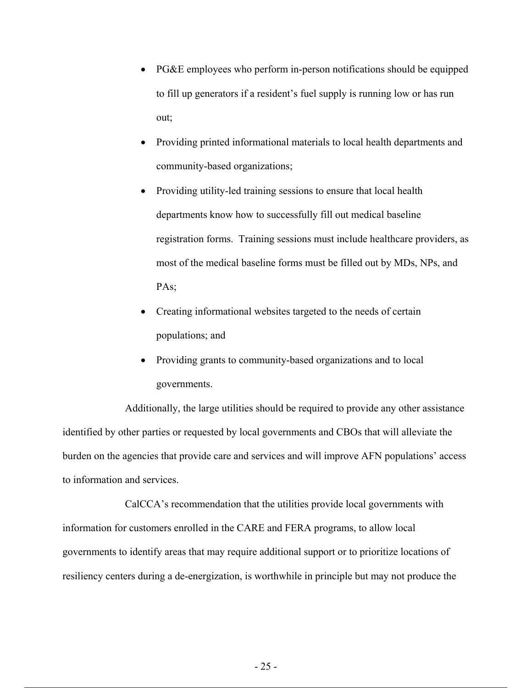- PG&E employees who perform in-person notifications should be equipped to fill up generators if a resident's fuel supply is running low or has run out;
- Providing printed informational materials to local health departments and community-based organizations;
- Providing utility-led training sessions to ensure that local health departments know how to successfully fill out medical baseline registration forms. Training sessions must include healthcare providers, as most of the medical baseline forms must be filled out by MDs, NPs, and PA<sub>s</sub>:
- Creating informational websites targeted to the needs of certain populations; and
- Providing grants to community-based organizations and to local governments.

Additionally, the large utilities should be required to provide any other assistance identified by other parties or requested by local governments and CBOs that will alleviate the burden on the agencies that provide care and services and will improve AFN populations' access to information and services.

CalCCA's recommendation that the utilities provide local governments with information for customers enrolled in the CARE and FERA programs, to allow local governments to identify areas that may require additional support or to prioritize locations of resiliency centers during a de-energization, is worthwhile in principle but may not produce the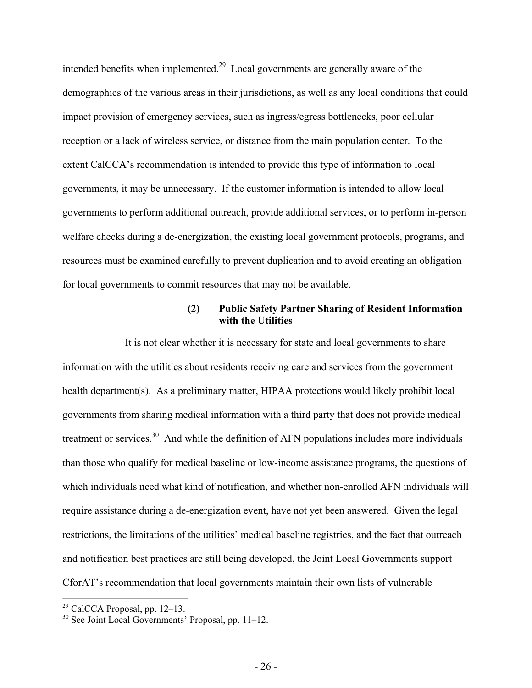intended benefits when implemented.<sup>29</sup> Local governments are generally aware of the demographics of the various areas in their jurisdictions, as well as any local conditions that could impact provision of emergency services, such as ingress/egress bottlenecks, poor cellular reception or a lack of wireless service, or distance from the main population center. To the extent CalCCA's recommendation is intended to provide this type of information to local governments, it may be unnecessary. If the customer information is intended to allow local governments to perform additional outreach, provide additional services, or to perform in-person welfare checks during a de-energization, the existing local government protocols, programs, and resources must be examined carefully to prevent duplication and to avoid creating an obligation for local governments to commit resources that may not be available.

### **(2) Public Safety Partner Sharing of Resident Information with the Utilities**

It is not clear whether it is necessary for state and local governments to share information with the utilities about residents receiving care and services from the government health department(s). As a preliminary matter, HIPAA protections would likely prohibit local governments from sharing medical information with a third party that does not provide medical treatment or services.<sup>30</sup> And while the definition of AFN populations includes more individuals than those who qualify for medical baseline or low-income assistance programs, the questions of which individuals need what kind of notification, and whether non-enrolled AFN individuals will require assistance during a de-energization event, have not yet been answered. Given the legal restrictions, the limitations of the utilities' medical baseline registries, and the fact that outreach and notification best practices are still being developed, the Joint Local Governments support CforAT's recommendation that local governments maintain their own lists of vulnerable

 $29$  CalCCA Proposal, pp. 12–13.

 $30$  See Joint Local Governments' Proposal, pp. 11–12.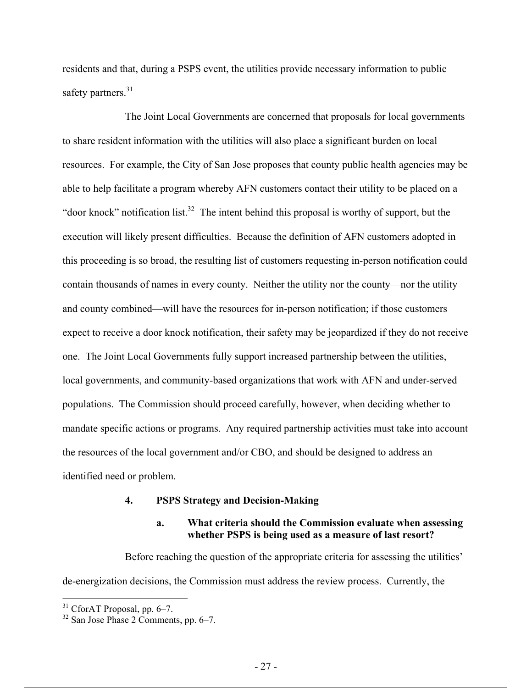residents and that, during a PSPS event, the utilities provide necessary information to public safety partners. $31$ 

The Joint Local Governments are concerned that proposals for local governments to share resident information with the utilities will also place a significant burden on local resources. For example, the City of San Jose proposes that county public health agencies may be able to help facilitate a program whereby AFN customers contact their utility to be placed on a "door knock" notification list. $32$  The intent behind this proposal is worthy of support, but the execution will likely present difficulties. Because the definition of AFN customers adopted in this proceeding is so broad, the resulting list of customers requesting in-person notification could contain thousands of names in every county. Neither the utility nor the county—nor the utility and county combined—will have the resources for in-person notification; if those customers expect to receive a door knock notification, their safety may be jeopardized if they do not receive one. The Joint Local Governments fully support increased partnership between the utilities, local governments, and community-based organizations that work with AFN and under-served populations. The Commission should proceed carefully, however, when deciding whether to mandate specific actions or programs. Any required partnership activities must take into account the resources of the local government and/or CBO, and should be designed to address an identified need or problem.

#### **4. PSPS Strategy and Decision-Making**

### **a. What criteria should the Commission evaluate when assessing whether PSPS is being used as a measure of last resort?**

Before reaching the question of the appropriate criteria for assessing the utilities' de-energization decisions, the Commission must address the review process. Currently, the

 $31$  CforAT Proposal, pp. 6–7.

 $32$  San Jose Phase 2 Comments, pp. 6–7.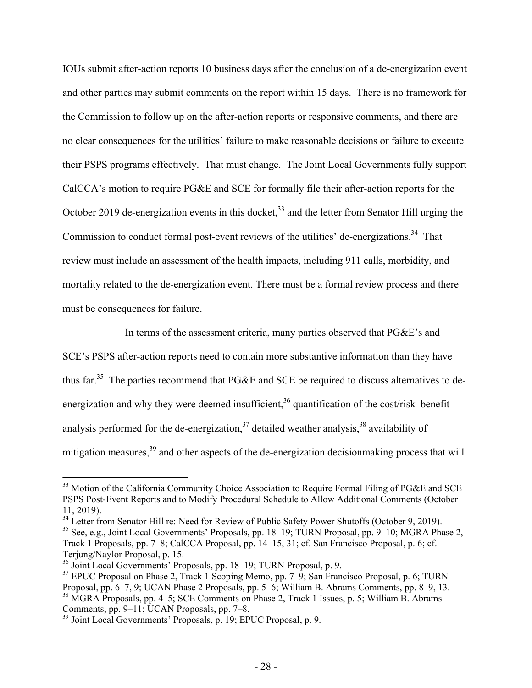IOUs submit after-action reports 10 business days after the conclusion of a de-energization event and other parties may submit comments on the report within 15 days. There is no framework for the Commission to follow up on the after-action reports or responsive comments, and there are no clear consequences for the utilities' failure to make reasonable decisions or failure to execute their PSPS programs effectively. That must change. The Joint Local Governments fully support CalCCA's motion to require PG&E and SCE for formally file their after-action reports for the October 2019 de-energization events in this docket,  $33$  and the letter from Senator Hill urging the Commission to conduct formal post-event reviews of the utilities' de-energizations.<sup>34</sup> That review must include an assessment of the health impacts, including 911 calls, morbidity, and mortality related to the de-energization event. There must be a formal review process and there must be consequences for failure.

In terms of the assessment criteria, many parties observed that PG&E's and SCE's PSPS after-action reports need to contain more substantive information than they have thus far.<sup>35</sup> The parties recommend that PG&E and SCE be required to discuss alternatives to deenergization and why they were deemed insufficient,<sup>36</sup> quantification of the cost/risk–benefit analysis performed for the de-energization,  $37$  detailed weather analysis,  $38$  availability of mitigation measures,<sup>39</sup> and other aspects of the de-energization decisionmaking process that will

<sup>&</sup>lt;sup>33</sup> Motion of the California Community Choice Association to Require Formal Filing of PG&E and SCE PSPS Post-Event Reports and to Modify Procedural Schedule to Allow Additional Comments (October 11, 2019).

<sup>&</sup>lt;sup>34</sup> Letter from Senator Hill re: Need for Review of Public Safety Power Shutoffs (October 9, 2019). <sup>35</sup> See, e.g., Joint Local Governments' Proposals, pp. 18–19; TURN Proposal, pp. 9–10; MGRA Phase 2, Track 1 Proposals, pp. 7–8; CalCCA Proposal, pp. 14–15, 31; cf. San Francisco Proposal, p. 6; cf. Terjung/Naylor Proposal, p. 15.

<sup>36</sup> Joint Local Governments' Proposals, pp. 18–19; TURN Proposal, p. 9.

 $37$  EPUC Proposal on Phase 2, Track 1 Scoping Memo, pp. 7–9; San Francisco Proposal, p. 6; TURN Proposal, pp. 6–7, 9; UCAN Phase 2 Proposals, pp. 5–6; William B. Abrams Comments, pp. 8–9, 13. 38 MGRA Proposals, pp. 4–5; SCE Comments on Phase 2, Track 1 Issues, p. 5; William B. Abrams

Comments, pp. 9–11; UCAN Proposals, pp. 7–8.

<sup>&</sup>lt;sup>39</sup> Joint Local Governments' Proposals, p. 19; EPUC Proposal, p. 9.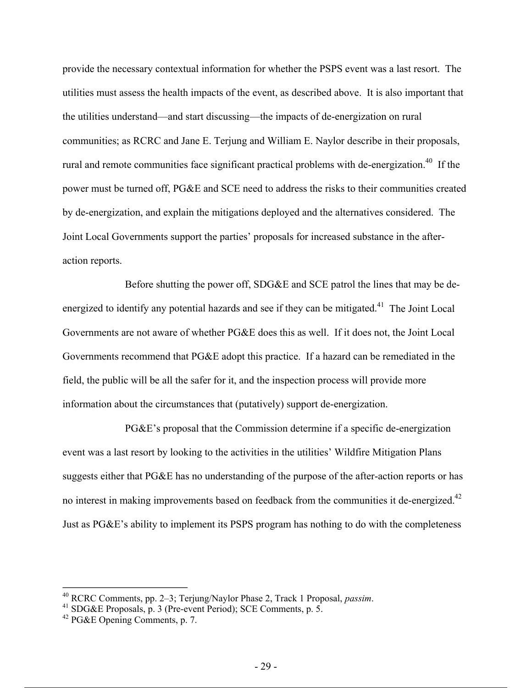provide the necessary contextual information for whether the PSPS event was a last resort. The utilities must assess the health impacts of the event, as described above. It is also important that the utilities understand—and start discussing—the impacts of de-energization on rural communities; as RCRC and Jane E. Terjung and William E. Naylor describe in their proposals, rural and remote communities face significant practical problems with de-energization.<sup>40</sup> If the power must be turned off, PG&E and SCE need to address the risks to their communities created by de-energization, and explain the mitigations deployed and the alternatives considered. The Joint Local Governments support the parties' proposals for increased substance in the afteraction reports.

Before shutting the power off, SDG&E and SCE patrol the lines that may be deenergized to identify any potential hazards and see if they can be mitigated.<sup>41</sup> The Joint Local Governments are not aware of whether PG&E does this as well. If it does not, the Joint Local Governments recommend that PG&E adopt this practice. If a hazard can be remediated in the field, the public will be all the safer for it, and the inspection process will provide more information about the circumstances that (putatively) support de-energization.

PG&E's proposal that the Commission determine if a specific de-energization event was a last resort by looking to the activities in the utilities' Wildfire Mitigation Plans suggests either that PG&E has no understanding of the purpose of the after-action reports or has no interest in making improvements based on feedback from the communities it de-energized.<sup>42</sup> Just as PG&E's ability to implement its PSPS program has nothing to do with the completeness

1

<sup>&</sup>lt;sup>40</sup> RCRC Comments, pp. 2–3; Terjung/Naylor Phase 2, Track 1 Proposal, *passim*.<br><sup>41</sup> SDG&E Proposals, p. 3 (Pre-event Period); SCE Comments, p. 5.

<sup>42</sup> PG&E Opening Comments, p. 7.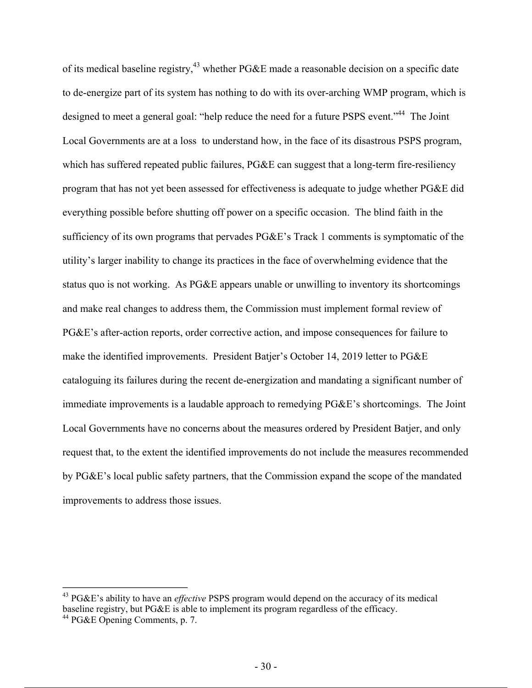of its medical baseline registry,<sup>43</sup> whether PG&E made a reasonable decision on a specific date to de-energize part of its system has nothing to do with its over-arching WMP program, which is designed to meet a general goal: "help reduce the need for a future PSPS event."<sup>44</sup> The Joint Local Governments are at a loss to understand how, in the face of its disastrous PSPS program, which has suffered repeated public failures, PG&E can suggest that a long-term fire-resiliency program that has not yet been assessed for effectiveness is adequate to judge whether PG&E did everything possible before shutting off power on a specific occasion. The blind faith in the sufficiency of its own programs that pervades PG&E's Track 1 comments is symptomatic of the utility's larger inability to change its practices in the face of overwhelming evidence that the status quo is not working. As PG&E appears unable or unwilling to inventory its shortcomings and make real changes to address them, the Commission must implement formal review of PG&E's after-action reports, order corrective action, and impose consequences for failure to make the identified improvements. President Batjer's October 14, 2019 letter to PG&E cataloguing its failures during the recent de-energization and mandating a significant number of immediate improvements is a laudable approach to remedying PG&E's shortcomings. The Joint Local Governments have no concerns about the measures ordered by President Batjer, and only request that, to the extent the identified improvements do not include the measures recommended by PG&E's local public safety partners, that the Commission expand the scope of the mandated improvements to address those issues.

<sup>43</sup> PG&E's ability to have an *effective* PSPS program would depend on the accuracy of its medical baseline registry, but PG&E is able to implement its program regardless of the efficacy.

<sup>&</sup>lt;sup>44</sup> PG&E Opening Comments, p. 7.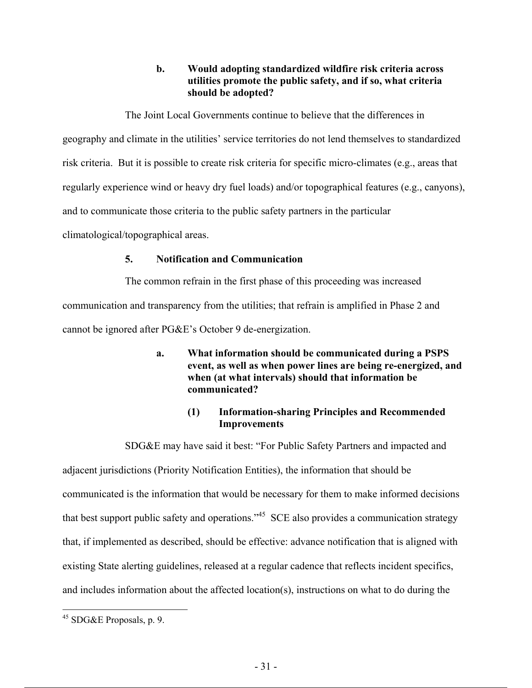## **b. Would adopting standardized wildfire risk criteria across utilities promote the public safety, and if so, what criteria should be adopted?**

The Joint Local Governments continue to believe that the differences in

geography and climate in the utilities' service territories do not lend themselves to standardized

risk criteria. But it is possible to create risk criteria for specific micro-climates (e.g., areas that

regularly experience wind or heavy dry fuel loads) and/or topographical features (e.g., canyons),

and to communicate those criteria to the public safety partners in the particular

climatological/topographical areas.

### **5. Notification and Communication**

The common refrain in the first phase of this proceeding was increased communication and transparency from the utilities; that refrain is amplified in Phase 2 and cannot be ignored after PG&E's October 9 de-energization.

> **a. What information should be communicated during a PSPS event, as well as when power lines are being re-energized, and when (at what intervals) should that information be communicated?**

# **(1) Information-sharing Principles and Recommended Improvements**

SDG&E may have said it best: "For Public Safety Partners and impacted and adjacent jurisdictions (Priority Notification Entities), the information that should be communicated is the information that would be necessary for them to make informed decisions that best support public safety and operations."45 SCE also provides a communication strategy that, if implemented as described, should be effective: advance notification that is aligned with existing State alerting guidelines, released at a regular cadence that reflects incident specifics, and includes information about the affected location(s), instructions on what to do during the

 $45$  SDG&E Proposals, p. 9.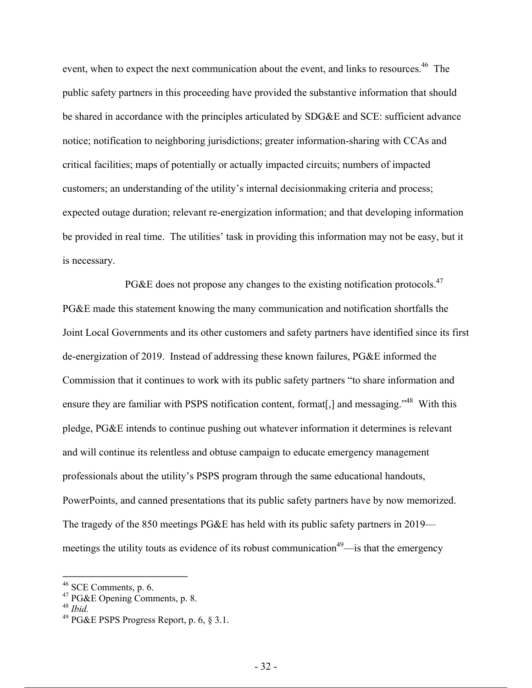event, when to expect the next communication about the event, and links to resources.<sup>46</sup> The public safety partners in this proceeding have provided the substantive information that should be shared in accordance with the principles articulated by SDG&E and SCE: sufficient advance notice; notification to neighboring jurisdictions; greater information-sharing with CCAs and critical facilities; maps of potentially or actually impacted circuits; numbers of impacted customers; an understanding of the utility's internal decisionmaking criteria and process; expected outage duration; relevant re-energization information; and that developing information be provided in real time. The utilities' task in providing this information may not be easy, but it is necessary.

PG&E does not propose any changes to the existing notification protocols.<sup>47</sup> PG&E made this statement knowing the many communication and notification shortfalls the Joint Local Governments and its other customers and safety partners have identified since its first de-energization of 2019. Instead of addressing these known failures, PG&E informed the Commission that it continues to work with its public safety partners "to share information and ensure they are familiar with PSPS notification content, format<sup>[1]</sup>, and messaging.<sup>"48</sup> With this pledge, PG&E intends to continue pushing out whatever information it determines is relevant and will continue its relentless and obtuse campaign to educate emergency management professionals about the utility's PSPS program through the same educational handouts, PowerPoints, and canned presentations that its public safety partners have by now memorized. The tragedy of the 850 meetings PG&E has held with its public safety partners in 2019 meetings the utility touts as evidence of its robust communication<sup>49</sup>—is that the emergency

 $46$  SCE Comments, p. 6.

 $47$  PG&E Opening Comments, p. 8.

<sup>48</sup> *Ibid.*

<sup>49</sup> PG&E PSPS Progress Report, p. 6, § 3.1.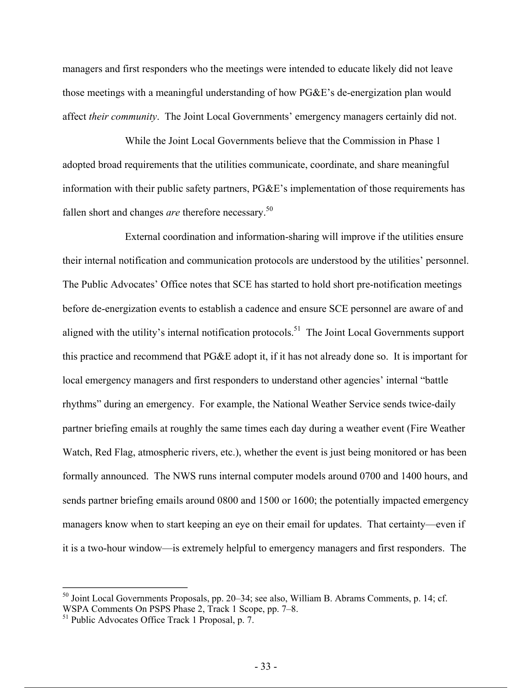managers and first responders who the meetings were intended to educate likely did not leave those meetings with a meaningful understanding of how PG&E's de-energization plan would affect *their community*. The Joint Local Governments' emergency managers certainly did not.

While the Joint Local Governments believe that the Commission in Phase 1 adopted broad requirements that the utilities communicate, coordinate, and share meaningful information with their public safety partners, PG&E's implementation of those requirements has fallen short and changes *are* therefore necessary.<sup>50</sup>

External coordination and information-sharing will improve if the utilities ensure their internal notification and communication protocols are understood by the utilities' personnel. The Public Advocates' Office notes that SCE has started to hold short pre-notification meetings before de-energization events to establish a cadence and ensure SCE personnel are aware of and aligned with the utility's internal notification protocols.<sup>51</sup> The Joint Local Governments support this practice and recommend that PG&E adopt it, if it has not already done so. It is important for local emergency managers and first responders to understand other agencies' internal "battle rhythms" during an emergency. For example, the National Weather Service sends twice-daily partner briefing emails at roughly the same times each day during a weather event (Fire Weather Watch, Red Flag, atmospheric rivers, etc.), whether the event is just being monitored or has been formally announced. The NWS runs internal computer models around 0700 and 1400 hours, and sends partner briefing emails around 0800 and 1500 or 1600; the potentially impacted emergency managers know when to start keeping an eye on their email for updates. That certainty—even if it is a two-hour window—is extremely helpful to emergency managers and first responders. The

 $50$  Joint Local Governments Proposals, pp. 20–34; see also, William B. Abrams Comments, p. 14; cf. WSPA Comments On PSPS Phase 2, Track 1 Scope, pp. 7–8.

<sup>&</sup>lt;sup>51</sup> Public Advocates Office Track 1 Proposal, p. 7.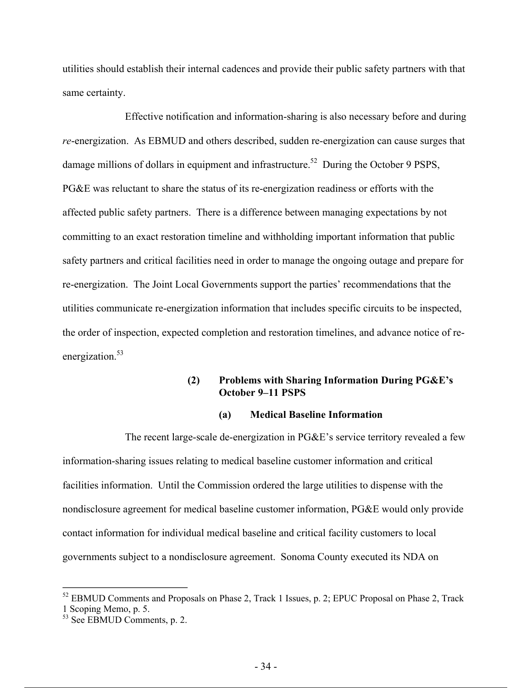utilities should establish their internal cadences and provide their public safety partners with that same certainty.

Effective notification and information-sharing is also necessary before and during *re*-energization. As EBMUD and others described, sudden re-energization can cause surges that damage millions of dollars in equipment and infrastructure.<sup>52</sup> During the October 9 PSPS, PG&E was reluctant to share the status of its re-energization readiness or efforts with the affected public safety partners. There is a difference between managing expectations by not committing to an exact restoration timeline and withholding important information that public safety partners and critical facilities need in order to manage the ongoing outage and prepare for re-energization. The Joint Local Governments support the parties' recommendations that the utilities communicate re-energization information that includes specific circuits to be inspected, the order of inspection, expected completion and restoration timelines, and advance notice of reenergization.<sup>53</sup>

## **(2) Problems with Sharing Information During PG&E's October 9–11 PSPS**

#### **(a) Medical Baseline Information**

The recent large-scale de-energization in PG&E's service territory revealed a few information-sharing issues relating to medical baseline customer information and critical facilities information. Until the Commission ordered the large utilities to dispense with the nondisclosure agreement for medical baseline customer information, PG&E would only provide contact information for individual medical baseline and critical facility customers to local governments subject to a nondisclosure agreement. Sonoma County executed its NDA on

<sup>&</sup>lt;sup>52</sup> EBMUD Comments and Proposals on Phase 2, Track 1 Issues, p. 2; EPUC Proposal on Phase 2, Track 1 Scoping Memo, p. 5.

 $53$  See EBMUD Comments, p. 2.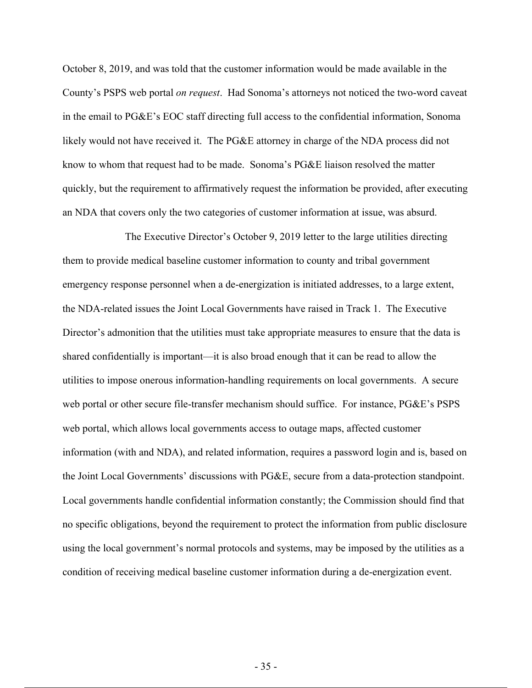October 8, 2019, and was told that the customer information would be made available in the County's PSPS web portal *on request*. Had Sonoma's attorneys not noticed the two-word caveat in the email to PG&E's EOC staff directing full access to the confidential information, Sonoma likely would not have received it. The PG&E attorney in charge of the NDA process did not know to whom that request had to be made. Sonoma's PG&E liaison resolved the matter quickly, but the requirement to affirmatively request the information be provided, after executing an NDA that covers only the two categories of customer information at issue, was absurd.

The Executive Director's October 9, 2019 letter to the large utilities directing them to provide medical baseline customer information to county and tribal government emergency response personnel when a de-energization is initiated addresses, to a large extent, the NDA-related issues the Joint Local Governments have raised in Track 1. The Executive Director's admonition that the utilities must take appropriate measures to ensure that the data is shared confidentially is important—it is also broad enough that it can be read to allow the utilities to impose onerous information-handling requirements on local governments. A secure web portal or other secure file-transfer mechanism should suffice. For instance, PG&E's PSPS web portal, which allows local governments access to outage maps, affected customer information (with and NDA), and related information, requires a password login and is, based on the Joint Local Governments' discussions with PG&E, secure from a data-protection standpoint. Local governments handle confidential information constantly; the Commission should find that no specific obligations, beyond the requirement to protect the information from public disclosure using the local government's normal protocols and systems, may be imposed by the utilities as a condition of receiving medical baseline customer information during a de-energization event.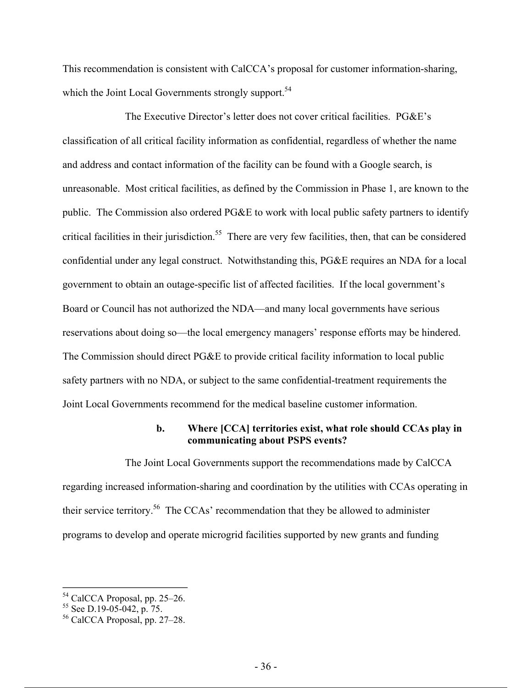This recommendation is consistent with CalCCA's proposal for customer information-sharing, which the Joint Local Governments strongly support.<sup>54</sup>

The Executive Director's letter does not cover critical facilities. PG&E's classification of all critical facility information as confidential, regardless of whether the name and address and contact information of the facility can be found with a Google search, is unreasonable. Most critical facilities, as defined by the Commission in Phase 1, are known to the public. The Commission also ordered PG&E to work with local public safety partners to identify critical facilities in their jurisdiction.<sup>55</sup> There are very few facilities, then, that can be considered confidential under any legal construct. Notwithstanding this, PG&E requires an NDA for a local government to obtain an outage-specific list of affected facilities. If the local government's Board or Council has not authorized the NDA—and many local governments have serious reservations about doing so—the local emergency managers' response efforts may be hindered. The Commission should direct PG&E to provide critical facility information to local public safety partners with no NDA, or subject to the same confidential-treatment requirements the Joint Local Governments recommend for the medical baseline customer information.

### **b. Where [CCA] territories exist, what role should CCAs play in communicating about PSPS events?**

The Joint Local Governments support the recommendations made by CalCCA regarding increased information-sharing and coordination by the utilities with CCAs operating in their service territory.56 The CCAs' recommendation that they be allowed to administer programs to develop and operate microgrid facilities supported by new grants and funding

<sup>54</sup> CalCCA Proposal, pp. 25–26.

 $55$  See D.19-05-042, p. 75.

<sup>56</sup> CalCCA Proposal, pp. 27–28.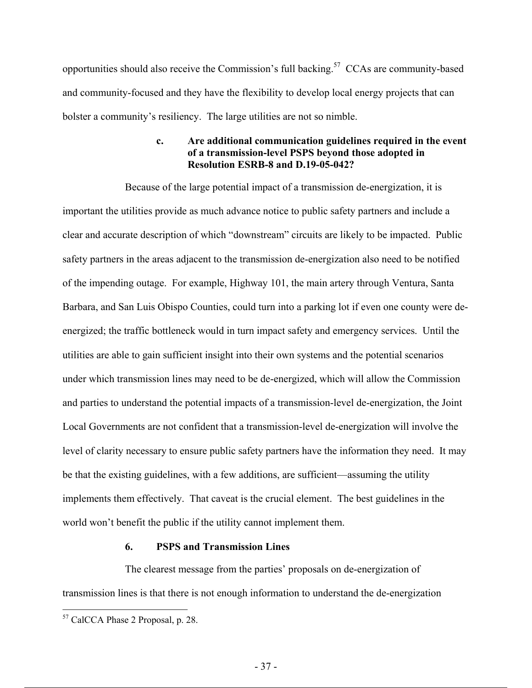opportunities should also receive the Commission's full backing.57 CCAs are community-based and community-focused and they have the flexibility to develop local energy projects that can bolster a community's resiliency. The large utilities are not so nimble.

### **c. Are additional communication guidelines required in the event of a transmission-level PSPS beyond those adopted in Resolution ESRB-8 and D.19-05-042?**

Because of the large potential impact of a transmission de-energization, it is important the utilities provide as much advance notice to public safety partners and include a clear and accurate description of which "downstream" circuits are likely to be impacted. Public safety partners in the areas adjacent to the transmission de-energization also need to be notified of the impending outage. For example, Highway 101, the main artery through Ventura, Santa Barbara, and San Luis Obispo Counties, could turn into a parking lot if even one county were deenergized; the traffic bottleneck would in turn impact safety and emergency services. Until the utilities are able to gain sufficient insight into their own systems and the potential scenarios under which transmission lines may need to be de-energized, which will allow the Commission and parties to understand the potential impacts of a transmission-level de-energization, the Joint Local Governments are not confident that a transmission-level de-energization will involve the level of clarity necessary to ensure public safety partners have the information they need. It may be that the existing guidelines, with a few additions, are sufficient—assuming the utility implements them effectively. That caveat is the crucial element. The best guidelines in the world won't benefit the public if the utility cannot implement them.

### **6. PSPS and Transmission Lines**

The clearest message from the parties' proposals on de-energization of transmission lines is that there is not enough information to understand the de-energization

<sup>&</sup>lt;sup>57</sup> CalCCA Phase 2 Proposal, p. 28.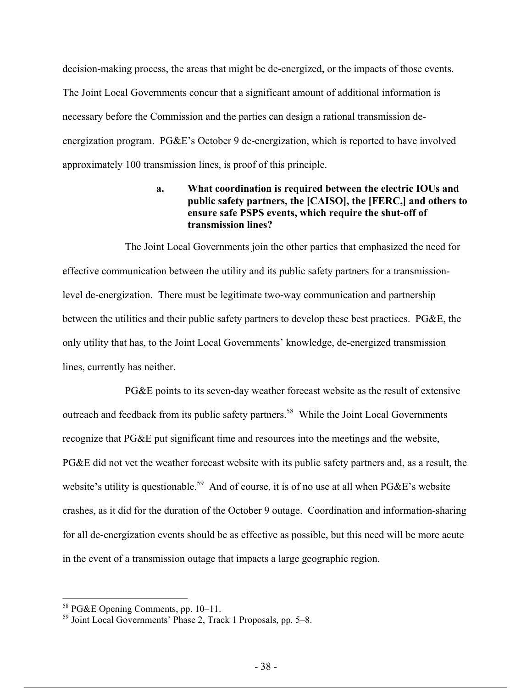decision-making process, the areas that might be de-energized, or the impacts of those events. The Joint Local Governments concur that a significant amount of additional information is necessary before the Commission and the parties can design a rational transmission deenergization program. PG&E's October 9 de-energization, which is reported to have involved approximately 100 transmission lines, is proof of this principle.

## **a. What coordination is required between the electric IOUs and public safety partners, the [CAISO], the [FERC,] and others to ensure safe PSPS events, which require the shut-off of transmission lines?**

The Joint Local Governments join the other parties that emphasized the need for effective communication between the utility and its public safety partners for a transmissionlevel de-energization. There must be legitimate two-way communication and partnership between the utilities and their public safety partners to develop these best practices. PG&E, the only utility that has, to the Joint Local Governments' knowledge, de-energized transmission lines, currently has neither.

PG&E points to its seven-day weather forecast website as the result of extensive outreach and feedback from its public safety partners.<sup>58</sup> While the Joint Local Governments recognize that PG&E put significant time and resources into the meetings and the website, PG&E did not vet the weather forecast website with its public safety partners and, as a result, the website's utility is questionable.<sup>59</sup> And of course, it is of no use at all when PG&E's website crashes, as it did for the duration of the October 9 outage. Coordination and information-sharing for all de-energization events should be as effective as possible, but this need will be more acute in the event of a transmission outage that impacts a large geographic region.

<sup>&</sup>lt;sup>58</sup> PG&E Opening Comments, pp. 10–11.

<sup>59</sup> Joint Local Governments' Phase 2, Track 1 Proposals, pp. 5–8.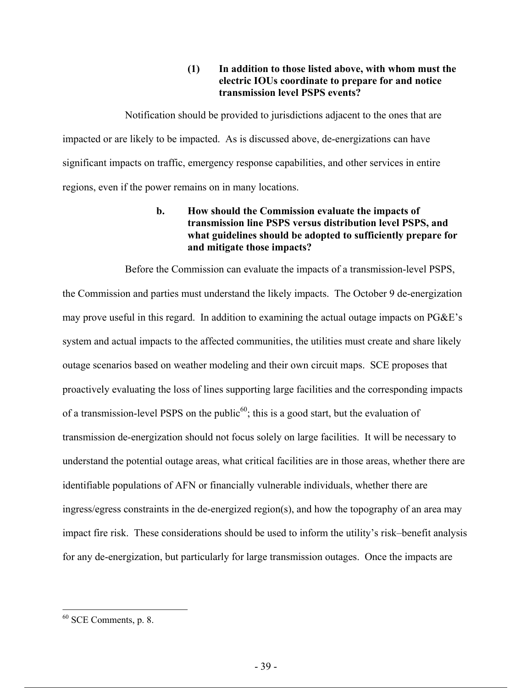## **(1) In addition to those listed above, with whom must the electric IOUs coordinate to prepare for and notice transmission level PSPS events?**

Notification should be provided to jurisdictions adjacent to the ones that are impacted or are likely to be impacted. As is discussed above, de-energizations can have significant impacts on traffic, emergency response capabilities, and other services in entire regions, even if the power remains on in many locations.

## **b. How should the Commission evaluate the impacts of transmission line PSPS versus distribution level PSPS, and what guidelines should be adopted to sufficiently prepare for and mitigate those impacts?**

Before the Commission can evaluate the impacts of a transmission-level PSPS, the Commission and parties must understand the likely impacts. The October 9 de-energization may prove useful in this regard. In addition to examining the actual outage impacts on PG&E's system and actual impacts to the affected communities, the utilities must create and share likely outage scenarios based on weather modeling and their own circuit maps. SCE proposes that proactively evaluating the loss of lines supporting large facilities and the corresponding impacts of a transmission-level PSPS on the public<sup>60</sup>; this is a good start, but the evaluation of transmission de-energization should not focus solely on large facilities. It will be necessary to understand the potential outage areas, what critical facilities are in those areas, whether there are identifiable populations of AFN or financially vulnerable individuals, whether there are ingress/egress constraints in the de-energized region(s), and how the topography of an area may impact fire risk. These considerations should be used to inform the utility's risk–benefit analysis for any de-energization, but particularly for large transmission outages. Once the impacts are

 $60$  SCE Comments, p. 8.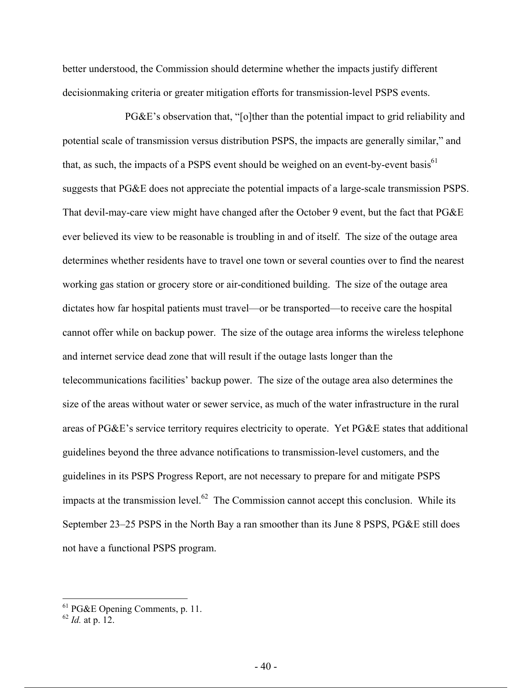better understood, the Commission should determine whether the impacts justify different decisionmaking criteria or greater mitigation efforts for transmission-level PSPS events.

PG&E's observation that, "[o]ther than the potential impact to grid reliability and potential scale of transmission versus distribution PSPS, the impacts are generally similar," and that, as such, the impacts of a PSPS event should be weighed on an event-by-event basis<sup>61</sup> suggests that PG&E does not appreciate the potential impacts of a large-scale transmission PSPS. That devil-may-care view might have changed after the October 9 event, but the fact that PG&E ever believed its view to be reasonable is troubling in and of itself. The size of the outage area determines whether residents have to travel one town or several counties over to find the nearest working gas station or grocery store or air-conditioned building. The size of the outage area dictates how far hospital patients must travel—or be transported—to receive care the hospital cannot offer while on backup power. The size of the outage area informs the wireless telephone and internet service dead zone that will result if the outage lasts longer than the telecommunications facilities' backup power. The size of the outage area also determines the size of the areas without water or sewer service, as much of the water infrastructure in the rural areas of PG&E's service territory requires electricity to operate. Yet PG&E states that additional guidelines beyond the three advance notifications to transmission-level customers, and the guidelines in its PSPS Progress Report, are not necessary to prepare for and mitigate PSPS impacts at the transmission level.<sup>62</sup> The Commission cannot accept this conclusion. While its September 23–25 PSPS in the North Bay a ran smoother than its June 8 PSPS, PG&E still does not have a functional PSPS program.

 $<sup>61</sup>$  PG&E Opening Comments, p. 11.</sup>

<sup>62</sup> *Id.* at p. 12.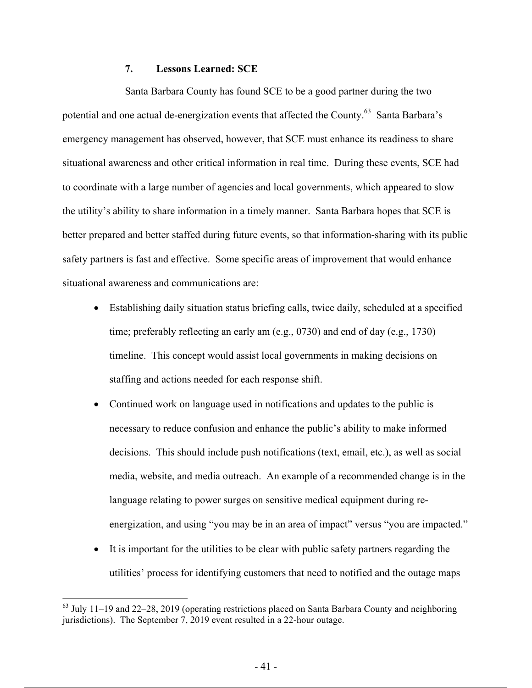## **7. Lessons Learned: SCE**

Santa Barbara County has found SCE to be a good partner during the two potential and one actual de-energization events that affected the County.<sup>63</sup> Santa Barbara's emergency management has observed, however, that SCE must enhance its readiness to share situational awareness and other critical information in real time. During these events, SCE had to coordinate with a large number of agencies and local governments, which appeared to slow the utility's ability to share information in a timely manner. Santa Barbara hopes that SCE is better prepared and better staffed during future events, so that information-sharing with its public safety partners is fast and effective. Some specific areas of improvement that would enhance situational awareness and communications are:

- Establishing daily situation status briefing calls, twice daily, scheduled at a specified time; preferably reflecting an early am (e.g., 0730) and end of day (e.g., 1730) timeline. This concept would assist local governments in making decisions on staffing and actions needed for each response shift.
- Continued work on language used in notifications and updates to the public is necessary to reduce confusion and enhance the public's ability to make informed decisions. This should include push notifications (text, email, etc.), as well as social media, website, and media outreach. An example of a recommended change is in the language relating to power surges on sensitive medical equipment during reenergization, and using "you may be in an area of impact" versus "you are impacted."
- It is important for the utilities to be clear with public safety partners regarding the utilities' process for identifying customers that need to notified and the outage maps

 $63$  July 11–19 and 22–28, 2019 (operating restrictions placed on Santa Barbara County and neighboring jurisdictions). The September 7, 2019 event resulted in a 22-hour outage.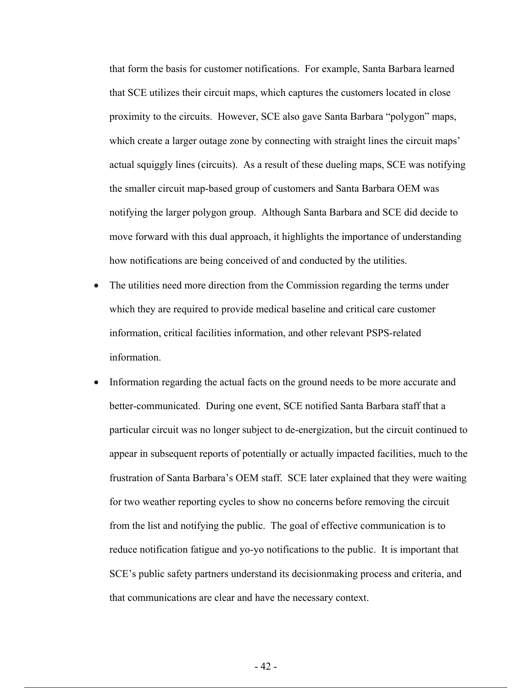that form the basis for customer notifications. For example, Santa Barbara learned that SCE utilizes their circuit maps, which captures the customers located in close proximity to the circuits. However, SCE also gave Santa Barbara "polygon" maps, which create a larger outage zone by connecting with straight lines the circuit maps' actual squiggly lines (circuits). As a result of these dueling maps, SCE was notifying the smaller circuit map-based group of customers and Santa Barbara OEM was notifying the larger polygon group. Although Santa Barbara and SCE did decide to move forward with this dual approach, it highlights the importance of understanding how notifications are being conceived of and conducted by the utilities.

- The utilities need more direction from the Commission regarding the terms under which they are required to provide medical baseline and critical care customer information, critical facilities information, and other relevant PSPS-related information.
- Information regarding the actual facts on the ground needs to be more accurate and better-communicated. During one event, SCE notified Santa Barbara staff that a particular circuit was no longer subject to de-energization, but the circuit continued to appear in subsequent reports of potentially or actually impacted facilities, much to the frustration of Santa Barbara's OEM staff. SCE later explained that they were waiting for two weather reporting cycles to show no concerns before removing the circuit from the list and notifying the public. The goal of effective communication is to reduce notification fatigue and yo-yo notifications to the public. It is important that SCE's public safety partners understand its decisionmaking process and criteria, and that communications are clear and have the necessary context.

 $-42-$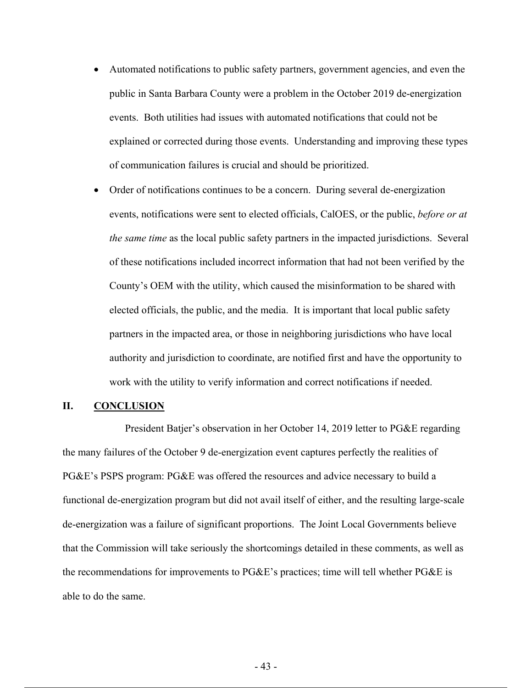- Automated notifications to public safety partners, government agencies, and even the public in Santa Barbara County were a problem in the October 2019 de-energization events. Both utilities had issues with automated notifications that could not be explained or corrected during those events. Understanding and improving these types of communication failures is crucial and should be prioritized.
- Order of notifications continues to be a concern. During several de-energization events, notifications were sent to elected officials, CalOES, or the public, *before or at the same time* as the local public safety partners in the impacted jurisdictions. Several of these notifications included incorrect information that had not been verified by the County's OEM with the utility, which caused the misinformation to be shared with elected officials, the public, and the media. It is important that local public safety partners in the impacted area, or those in neighboring jurisdictions who have local authority and jurisdiction to coordinate, are notified first and have the opportunity to work with the utility to verify information and correct notifications if needed.

#### **II. CONCLUSION**

President Batjer's observation in her October 14, 2019 letter to PG&E regarding the many failures of the October 9 de-energization event captures perfectly the realities of PG&E's PSPS program: PG&E was offered the resources and advice necessary to build a functional de-energization program but did not avail itself of either, and the resulting large-scale de-energization was a failure of significant proportions. The Joint Local Governments believe that the Commission will take seriously the shortcomings detailed in these comments, as well as the recommendations for improvements to PG&E's practices; time will tell whether PG&E is able to do the same.